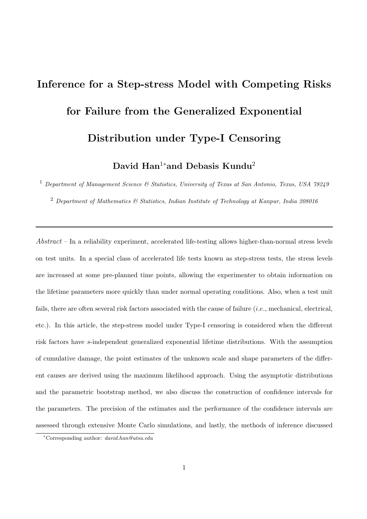# Inference for a Step-stress Model with Competing Risks for Failure from the Generalized Exponential Distribution under Type-I Censoring

David Han<sup>1</sup>\*and Debasis Kundu<sup>2</sup>

<sup>1</sup> Department of Management Science & Statistics, University of Texas at San Antonio, Texas, USA 78249

<sup>2</sup> Department of Mathematics  $\mathcal{C}$  Statistics, Indian Institute of Technology at Kanpur, India 208016

Abstract – In a reliability experiment, accelerated life-testing allows higher-than-normal stress levels on test units. In a special class of accelerated life tests known as step-stress tests, the stress levels are increased at some pre-planned time points, allowing the experimenter to obtain information on the lifetime parameters more quickly than under normal operating conditions. Also, when a test unit fails, there are often several risk factors associated with the cause of failure (*i.e.*, mechanical, electrical, etc.). In this article, the step-stress model under Type-I censoring is considered when the different risk factors have s-independent generalized exponential lifetime distributions. With the assumption of cumulative damage, the point estimates of the unknown scale and shape parameters of the different causes are derived using the maximum likelihood approach. Using the asymptotic distributions and the parametric bootstrap method, we also discuss the construction of confidence intervals for the parameters. The precision of the estimates and the performance of the confidence intervals are assessed through extensive Monte Carlo simulations, and lastly, the methods of inference discussed

<sup>∗</sup>Corresponding author: david.han@utsa.edu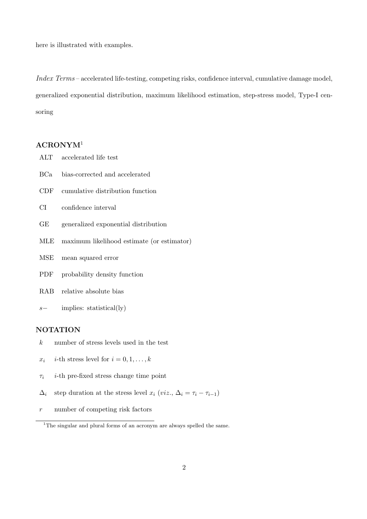here is illustrated with examples.

Index Terms – accelerated life-testing, competing risks, confidence interval, cumulative damage model, generalized exponential distribution, maximum likelihood estimation, step-stress model, Type-I censoring

## ACRONYM<sup>1</sup>

| ALT       | accelerated life test                      |
|-----------|--------------------------------------------|
| BCa       | bias-corrected and accelerated             |
| CDF       | cumulative distribution function           |
| CI —      | confidence interval                        |
| GE        | generalized exponential distribution       |
| MLE       | maximum likelihood estimate (or estimator) |
| MSE       | mean squared error                         |
| PDF       | probability density function               |
| $\rm RAB$ | relative absolute bias                     |
| $s-$      | implies: statistical(ly)                   |

## NOTATION

- $k$  number of stress levels used in the test
- $x_i$  *i*-th stress level for  $i = 0, 1, \ldots, k$
- $\tau_i$  *i*-th pre-fixed stress change time point
- $\Delta_i$  step duration at the stress level  $x_i$  (viz.,  $\Delta_i = \tau_i \tau_{i-1}$ )
- r number of competing risk factors

<sup>&</sup>lt;sup>1</sup>The singular and plural forms of an acronym are always spelled the same.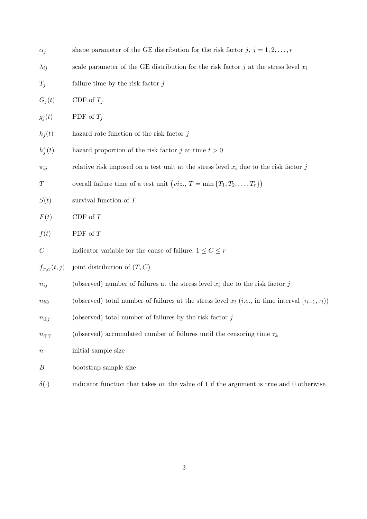| $\alpha_j$                        | shape parameter of the GE distribution for the risk factor $j, j = 1, 2, , r$                                           |
|-----------------------------------|-------------------------------------------------------------------------------------------------------------------------|
| $\lambda_{ij}$                    | scale parameter of the GE distribution for the risk factor j at the stress level $x_i$                                  |
| $T_i$                             | failure time by the risk factor $j$                                                                                     |
| $G_j(t)$                          | CDF of $T_i$                                                                                                            |
| $g_j(t)$                          | PDF of $T_i$                                                                                                            |
| $h_j(t)$                          | hazard rate function of the risk factor $j$                                                                             |
| $h_j^{\pi}(t)$                    | hazard proportion of the risk factor j at time $t > 0$                                                                  |
| $\pi_{ij}$                        | relative risk imposed on a test unit at the stress level $x_i$ due to the risk factor j                                 |
| $\, T \,$                         | overall failure time of a test unit $(viz., T = \min\{T_1, T_2, , T_r\})$                                               |
| S(t)                              | survival function of $T$                                                                                                |
| F(t)                              | CDF of $T$                                                                                                              |
| f(t)                              | PDF of $T$                                                                                                              |
| $\mathcal{C}$                     | indicator variable for the cause of failure, $1\leq C\leq r$                                                            |
| $f_{\scriptscriptstyle T,C}(t,j)$ | joint distribution of $(T, C)$                                                                                          |
| $n_{ij}$                          | (observed) number of failures at the stress level $x_i$ due to the risk factor j                                        |
| $n_{i\oplus}$                     | (observed) total number of failures at the stress level $x_i$ ( <i>i.e.</i> , in time interval $[\tau_{i-1}, \tau_i)$ ) |
| $n_{\oplus j}$                    | (observed) total number of failures by the risk factor $j$                                                              |
| $n_{\oplus\oplus}$                | (observed) accumulated number of failures until the censoring time $\tau_k$                                             |
| $\, n$                            | initial sample size                                                                                                     |
| В                                 | bootstrap sample size                                                                                                   |
| $\delta(\cdot)$                   | indicator function that takes on the value of 1 if the argument is true and 0 otherwise                                 |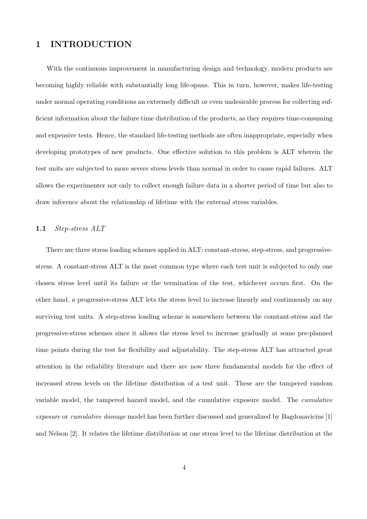## 1 INTRODUCTION

With the continuous improvement in manufacturing design and technology, modern products are becoming highly reliable with substantially long life-spans. This in turn, however, makes life-testing under normal operating conditions an extremely difficult or even undesirable process for collecting sufficient information about the failure time distribution of the products, as they requires time-consuming and expensive tests. Hence, the standard life-testing methods are often inappropriate, especially when developing prototypes of new products. One effective solution to this problem is ALT wherein the test units are subjected to more severe stress levels than normal in order to cause rapid failures. ALT allows the experimenter not only to collect enough failure data in a shorter period of time but also to draw inference about the relationship of lifetime with the external stress variables.

#### 1.1 Step-stress ALT

There are three stress loading schemes applied in ALT: constant-stress, step-stress, and progressivestress. A constant-stress ALT is the most common type where each test unit is subjected to only one chosen stress level until its failure or the termination of the test, whichever occurs first. On the other hand, a progressive-stress ALT lets the stress level to increase linearly and continuously on any surviving test units. A step-stress loading scheme is somewhere between the constant-stress and the progressive-stress schemes since it allows the stress level to increase gradually at some pre-planned time points during the test for flexibility and adjustability. The step-stress ALT has attracted great attention in the reliability literature and there are now three fundamental models for the effect of increased stress levels on the lifetime distribution of a test unit. These are the tampered random variable model, the tampered hazard model, and the cumulative exposure model. The cumulative exposure or cumulative damage model has been further discussed and generalized by Bagdonavicius [1] and Nelson [2]. It relates the lifetime distribution at one stress level to the lifetime distribution at the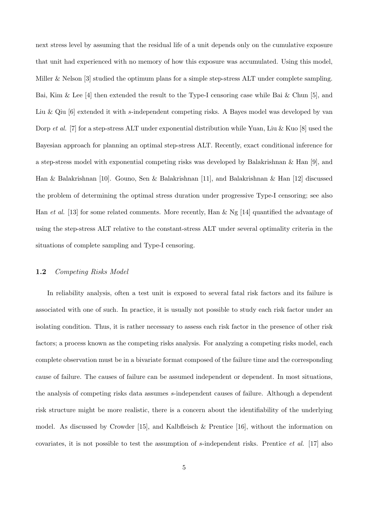next stress level by assuming that the residual life of a unit depends only on the cumulative exposure that unit had experienced with no memory of how this exposure was accumulated. Using this model, Miller & Nelson [3] studied the optimum plans for a simple step-stress ALT under complete sampling. Bai, Kim & Lee [4] then extended the result to the Type-I censoring case while Bai & Chun [5], and Liu & Qiu [6] extended it with s-independent competing risks. A Bayes model was developed by van Dorp et al. [7] for a step-stress ALT under exponential distribution while Yuan, Liu & Kuo [8] used the Bayesian approach for planning an optimal step-stress ALT. Recently, exact conditional inference for a step-stress model with exponential competing risks was developed by Balakrishnan & Han [9], and Han & Balakrishnan [10]. Gouno, Sen & Balakrishnan [11], and Balakrishnan & Han [12] discussed the problem of determining the optimal stress duration under progressive Type-I censoring; see also Han et al. [13] for some related comments. More recently, Han & Ng [14] quantified the advantage of using the step-stress ALT relative to the constant-stress ALT under several optimality criteria in the situations of complete sampling and Type-I censoring.

#### 1.2 Competing Risks Model

In reliability analysis, often a test unit is exposed to several fatal risk factors and its failure is associated with one of such. In practice, it is usually not possible to study each risk factor under an isolating condition. Thus, it is rather necessary to assess each risk factor in the presence of other risk factors; a process known as the competing risks analysis. For analyzing a competing risks model, each complete observation must be in a bivariate format composed of the failure time and the corresponding cause of failure. The causes of failure can be assumed independent or dependent. In most situations, the analysis of competing risks data assumes s-independent causes of failure. Although a dependent risk structure might be more realistic, there is a concern about the identifiability of the underlying model. As discussed by Crowder [15], and Kalbfleisch & Prentice [16], without the information on covariates, it is not possible to test the assumption of s-independent risks. Prentice et al. [17] also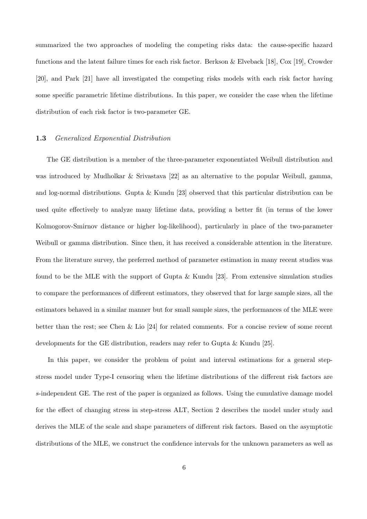summarized the two approaches of modeling the competing risks data: the cause-specific hazard functions and the latent failure times for each risk factor. Berkson & Elveback [18], Cox [19], Crowder [20], and Park [21] have all investigated the competing risks models with each risk factor having some specific parametric lifetime distributions. In this paper, we consider the case when the lifetime distribution of each risk factor is two-parameter GE.

#### 1.3 Generalized Exponential Distribution

The GE distribution is a member of the three-parameter exponentiated Weibull distribution and was introduced by Mudholkar & Srivastava [22] as an alternative to the popular Weibull, gamma, and log-normal distributions. Gupta & Kundu [23] observed that this particular distribution can be used quite effectively to analyze many lifetime data, providing a better fit (in terms of the lower Kolmogorov-Smirnov distance or higher log-likelihood), particularly in place of the two-parameter Weibull or gamma distribution. Since then, it has received a considerable attention in the literature. From the literature survey, the preferred method of parameter estimation in many recent studies was found to be the MLE with the support of Gupta & Kundu [23]. From extensive simulation studies to compare the performances of different estimators, they observed that for large sample sizes, all the estimators behaved in a similar manner but for small sample sizes, the performances of the MLE were better than the rest; see Chen & Lio [24] for related comments. For a concise review of some recent developments for the GE distribution, readers may refer to Gupta & Kundu [25].

In this paper, we consider the problem of point and interval estimations for a general stepstress model under Type-I censoring when the lifetime distributions of the different risk factors are s-independent GE. The rest of the paper is organized as follows. Using the cumulative damage model for the effect of changing stress in step-stress ALT, Section 2 describes the model under study and derives the MLE of the scale and shape parameters of different risk factors. Based on the asymptotic distributions of the MLE, we construct the confidence intervals for the unknown parameters as well as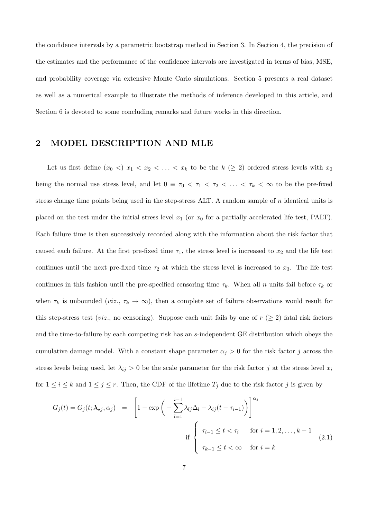the confidence intervals by a parametric bootstrap method in Section 3. In Section 4, the precision of the estimates and the performance of the confidence intervals are investigated in terms of bias, MSE, and probability coverage via extensive Monte Carlo simulations. Section 5 presents a real dataset as well as a numerical example to illustrate the methods of inference developed in this article, and Section 6 is devoted to some concluding remarks and future works in this direction.

## 2 MODEL DESCRIPTION AND MLE

Let us first define  $(x_0 \leq x_1 \leq x_2 \leq \ldots \leq x_k$  to be the  $k \geq 2$  ordered stress levels with  $x_0$ being the normal use stress level, and let  $0 \equiv \tau_0 < \tau_1 < \tau_2 < \ldots < \tau_k < \infty$  to be the pre-fixed stress change time points being used in the step-stress ALT. A random sample of  $n$  identical units is placed on the test under the initial stress level  $x_1$  (or  $x_0$  for a partially accelerated life test, PALT). Each failure time is then successively recorded along with the information about the risk factor that caused each failure. At the first pre-fixed time  $\tau_1$ , the stress level is increased to  $x_2$  and the life test continues until the next pre-fixed time  $\tau_2$  at which the stress level is increased to  $x_3$ . The life test continues in this fashion until the pre-specified censoring time  $\tau_k$ . When all n units fail before  $\tau_k$  or when  $\tau_k$  is unbounded (*viz.*,  $\tau_k \to \infty$ ), then a complete set of failure observations would result for this step-stress test (*viz.*, no censoring). Suppose each unit fails by one of  $r$  ( $\geq$  2) fatal risk factors and the time-to-failure by each competing risk has an s-independent GE distribution which obeys the cumulative damage model. With a constant shape parameter  $\alpha_j > 0$  for the risk factor j across the stress levels being used, let  $\lambda_{ij} > 0$  be the scale parameter for the risk factor j at the stress level  $x_i$ for  $1 \leq i \leq k$  and  $1 \leq j \leq r$ . Then, the CDF of the lifetime  $T_j$  due to the risk factor j is given by

$$
G_j(t) = G_j(t; \lambda_{\star j}, \alpha_j) = \left[1 - \exp\left(-\sum_{l=1}^{i-1} \lambda_{lj} \Delta_l - \lambda_{ij}(t - \tau_{i-1})\right)\right]^{\alpha_j}
$$
  
if 
$$
\begin{cases} \tau_{i-1} \le t < \tau_i \quad \text{for } i = 1, 2, \dots, k-1 \\ \tau_{k-1} \le t < \infty \quad \text{for } i = k \end{cases}
$$
(2.1)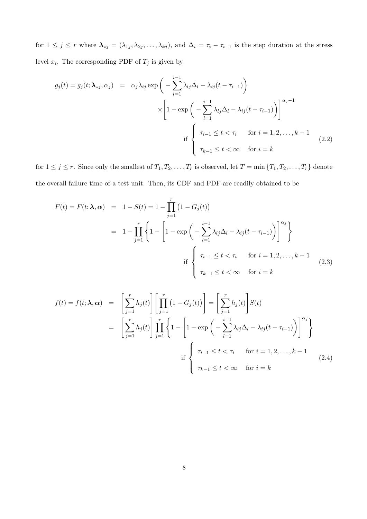for  $1 \leq j \leq r$  where  $\lambda_{\star j} = (\lambda_{1j}, \lambda_{2j}, \ldots, \lambda_{kj})$ , and  $\Delta_i = \tau_i - \tau_{i-1}$  is the step duration at the stress level  $x_i$ . The corresponding PDF of  $T_j$  is given by

$$
g_j(t) = g_j(t; \lambda_{\star j}, \alpha_j) = \alpha_j \lambda_{ij} \exp\left(-\sum_{l=1}^{i-1} \lambda_{lj} \Delta_l - \lambda_{ij}(t - \tau_{i-1})\right)
$$

$$
\times \left[1 - \exp\left(-\sum_{l=1}^{i-1} \lambda_{lj} \Delta_l - \lambda_{ij}(t - \tau_{i-1})\right)\right]^{\alpha_j - 1}
$$
  
if 
$$
\begin{cases} \tau_{i-1} \le t < \tau_i \quad \text{for } i = 1, 2, \dots, k-1 \\ \tau_{k-1} \le t < \infty \quad \text{for } i = k \end{cases}
$$
(2.2)

for  $1 \leq j \leq r$ . Since only the smallest of  $T_1, T_2, \ldots, T_r$  is observed, let  $T = \min\{T_1, T_2, \ldots, T_r\}$  denote the overall failure time of a test unit. Then, its CDF and PDF are readily obtained to be

$$
F(t) = F(t; \lambda, \alpha) = 1 - S(t) = 1 - \prod_{j=1}^{r} (1 - G_j(t))
$$
  
= 
$$
1 - \prod_{j=1}^{r} \left\{ 1 - \left[ 1 - \exp\left( - \sum_{l=1}^{i-1} \lambda_{lj} \Delta_l - \lambda_{ij} (t - \tau_{i-1}) \right) \right]^{\alpha_j} \right\}
$$
  
if 
$$
\begin{cases} \tau_{i-1} \le t < \tau_i \quad \text{for } i = 1, 2, \dots, k-1 \\ \tau_{k-1} \le t < \infty \quad \text{for } i = k \end{cases}
$$
(2.3)

$$
f(t) = f(t; \lambda, \alpha) = \left[\sum_{j=1}^{r} h_j(t)\right] \left[\prod_{j=1}^{r} (1 - G_j(t))\right] = \left[\sum_{j=1}^{r} h_j(t)\right] S(t)
$$
  

$$
= \left[\sum_{j=1}^{r} h_j(t)\right] \prod_{j=1}^{r} \left\{1 - \left[1 - \exp\left(-\sum_{l=1}^{i-1} \lambda_{lj} \Delta_l - \lambda_{ij}(t - \tau_{i-1})\right)\right]^{\alpha_j}\right\}
$$
  
if 
$$
\left\{\begin{array}{ll} \tau_{i-1} \leq t < \tau_i & \text{for } i = 1, 2, \dots, k-1\\ \tau_{k-1} \leq t < \infty & \text{for } i = k \end{array}\right. \tag{2.4}
$$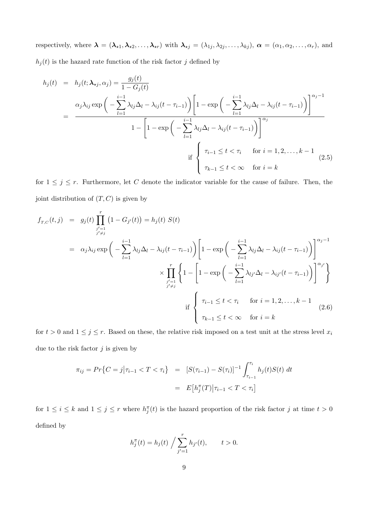respectively, where  $\lambda = (\lambda_{*1}, \lambda_{*2}, \ldots, \lambda_{*r})$  with  $\lambda_{*j} = (\lambda_{1j}, \lambda_{2j}, \ldots, \lambda_{kj}), \alpha = (\alpha_1, \alpha_2, \ldots, \alpha_r)$ , and  $h_j(t)$  is the hazard rate function of the risk factor j defined by

$$
h_j(t) = h_j(t; \lambda_{\star j}, \alpha_j) = \frac{g_j(t)}{1 - G_j(t)}
$$
  
= 
$$
\frac{\alpha_j \lambda_{ij} \exp\left(-\sum_{l=1}^{i-1} \lambda_{lj} \Delta_l - \lambda_{ij}(t - \tau_{i-1})\right) \left[1 - \exp\left(-\sum_{l=1}^{i-1} \lambda_{lj} \Delta_l - \lambda_{ij}(t - \tau_{i-1})\right)\right]^{\alpha_j}}{1 - \left[1 - \exp\left(-\sum_{l=1}^{i-1} \lambda_{lj} \Delta_l - \lambda_{ij}(t - \tau_{i-1})\right)\right]^{\alpha_j}}
$$
  
if 
$$
\begin{cases} \tau_{i-1} \le t < \tau_i \quad \text{for } i = 1, 2, ..., k-1 \\ \tau_{k-1} \le t < \infty \quad \text{for } i = k \end{cases}
$$
(2.5)

for  $1 \leq j \leq r$ . Furthermore, let C denote the indicator variable for the cause of failure. Then, the joint distribution of  $(T, C)$  is given by

$$
f_{T,C}(t,j) = g_j(t) \prod_{\substack{j'=1 \ j \neq j}}^r (1 - G_{j'}(t)) = h_j(t) S(t)
$$
  
\n
$$
= \alpha_j \lambda_{ij} \exp \left( - \sum_{l=1}^{i-1} \lambda_{lj} \Delta_l - \lambda_{ij} (t - \tau_{i-1}) \right) \left[ 1 - \exp \left( - \sum_{l=1}^{i-1} \lambda_{lj} \Delta_l - \lambda_{ij} (t - \tau_{i-1}) \right) \right]^{\alpha_j - 1}
$$
  
\n
$$
\times \prod_{\substack{j'=1 \ j \neq j}}^r \left\{ 1 - \left[ 1 - \exp \left( - \sum_{l=1}^{i-1} \lambda_{lj'} \Delta_l - \lambda_{ij'} (t - \tau_{i-1}) \right) \right]^{\alpha_{j'}} \right\}
$$
  
\nif 
$$
\left\{ \tau_{i-1} \le t < \tau_i \quad \text{for } i = 1, 2, ..., k-1 \atop \tau_{k-1} \le t < \infty \quad \text{for } i = k \right\}
$$
 (2.6)

for  $t > 0$  and  $1 \leq j \leq r$ . Based on these, the relative risk imposed on a test unit at the stress level  $x_i$ due to the risk factor  $j$  is given by

$$
\pi_{ij} = Pr\{C = j|\tau_{i-1} < T < \tau_i\} = [S(\tau_{i-1}) - S(\tau_i)]^{-1} \int_{\tau_{i-1}}^{\tau_i} h_j(t)S(t) \, dt
$$
\n
$$
= E\big[h_j^\pi(T)\big|\tau_{i-1} < T < \tau_i\big]
$$

for  $1 \leq i \leq k$  and  $1 \leq j \leq r$  where  $h_j^{\pi}(t)$  is the hazard proportion of the risk factor j at time  $t > 0$ defined by

$$
h_j^{\pi}(t) = h_j(t) / \sum_{j'=1}^{r} h_{j'}(t), \qquad t > 0.
$$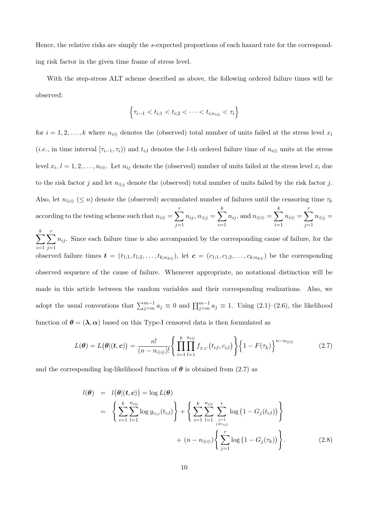Hence, the relative risks are simply the s-expected proportions of each hazard rate for the corresponding risk factor in the given time frame of stress level.

With the step-stress ALT scheme described as above, the following ordered failure times will be observed:

$$
\left\{\tau_{i-1} < t_{i;1} < t_{i;2} < \cdots < t_{i;n_{i\oplus}} < \tau_i\right\}
$$

for  $i = 1, 2, \ldots, k$  where  $n_{i\oplus}$  denotes the (observed) total number of units failed at the stress level  $x_i$ (*i.e.*, in time interval  $[\tau_{i-1}, \tau_i)$ ) and  $t_{i;l}$  denotes the *l*-th ordered failure time of  $n_{i\oplus}$  units at the stress level  $x_i, l = 1, 2, \ldots, n_{i \oplus}$ . Let  $n_{ij}$  denote the (observed) number of units failed at the stress level  $x_i$  due to the risk factor j and let  $n_{\oplus j}$  denote the (observed) total number of units failed by the risk factor j. Also, let  $n_{\oplus\oplus}$  ( $\leq n$ ) denote the (observed) accumulated number of failures until the censoring time  $\tau_k$ according to the testing scheme such that  $n_{i\oplus} = \sum_{i=1}^{r}$  $j=1$  $n_{ij}, n_{\oplus j} = \sum$ k  $i=1$  $n_{ij}$ , and  $n_{\oplus\oplus} = \sum$ k  $i=1$  $n_{i\oplus} = \sum^{r}$  $j=1$  $n_{\oplus j} =$  $\sum$ k  $\sum_{r}$ 

 $i=1$  $j=1$  $n_{ij}$ . Since each failure time is also accompanied by the corresponding cause of failure, for the observed failure times  $\boldsymbol{t} = (t_{1,1}, t_{1,2}, \ldots, t_{k; n_{k\oplus}})$ , let  $\boldsymbol{c} = (c_{1,1}, c_{1,2}, \ldots, c_{k; n_{k\oplus}})$  be the corresponding observed sequence of the cause of failure. Whenever appropriate, no notational distinction will be made in this article between the random variables and their corresponding realizations. Also, we adopt the usual conventions that  $\sum_{j=m}^{m-1} a_j \equiv 0$  and  $\prod_{j=m}^{m-1} a_j \equiv 1$ . Using  $(2.1)$ – $(2.6)$ , the likelihood function of  $\theta = (\lambda, \alpha)$  based on this Type-I censored data is then formulated as

$$
L(\boldsymbol{\theta}) = L(\boldsymbol{\theta} | (\boldsymbol{t}, \boldsymbol{c})) = \frac{n!}{(n - n_{\text{min}})!} \left\{ \prod_{i=1}^{k} \prod_{l=1}^{n_{i \oplus}} f_{T, C}(t_{i, l}, c_{i, l}) \right\} \left\{ 1 - F(\tau_k) \right\}^{n - n_{\text{min}}} \tag{2.7}
$$

and the corresponding log-likelihood function of  $\theta$  is obtained from (2.7) as

$$
l(\boldsymbol{\theta}) = l(\boldsymbol{\theta}|(\boldsymbol{t}, \boldsymbol{c})) = \log L(\boldsymbol{\theta})
$$
  
= 
$$
\left\{ \sum_{i=1}^{k} \sum_{l=1}^{n_{i} \oplus} \log g_{c_{i,l}}(t_{i,l}) \right\} + \left\{ \sum_{i=1}^{k} \sum_{l=1}^{n_{i} \oplus} \sum_{\substack{j=1 \ j \neq c_{i,l}}}^{r} \log (1 - G_j(t_{i,l})) \right\}
$$
  
+ 
$$
(n - n_{\oplus \oplus}) \left\{ \sum_{j=1}^{r} \log (1 - G_j(\tau_k)) \right\}.
$$
 (2.8)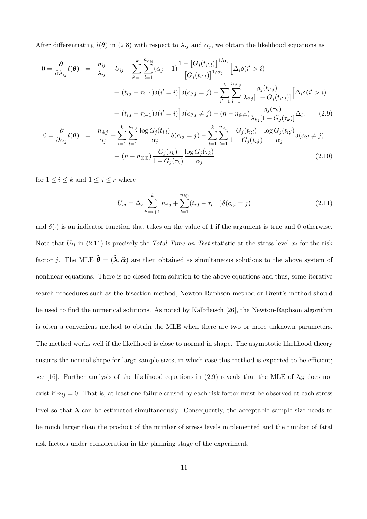After differentiating  $l(\theta)$  in (2.8) with respect to  $\lambda_{ij}$  and  $\alpha_j$ , we obtain the likelihood equations as

$$
0 = \frac{\partial}{\partial \lambda_{ij}} l(\theta) = \frac{n_{ij}}{\lambda_{ij}} - U_{ij} + \sum_{i'=1}^{k} \sum_{l=1}^{n_{i'} \oplus} (\alpha_j - 1) \frac{1 - [G_j(t_{i';l})]^{1/\alpha_j}}{[G_j(t_{i';l})]^{1/\alpha_j}} \left[ \Delta_i \delta(i' > i) \right]
$$
  
+  $(t_{i;l} - \tau_{i-1}) \delta(i' = i) \left[ \delta(c_{i';l} = j) - \sum_{i'=1}^{k} \sum_{l=1}^{n_{i' \oplus}} \frac{g_j(t_{i';l})}{\lambda_{i'j}[1 - G_j(t_{i';l})]} \left[ \Delta_i \delta(i' > i) \right.\right]$   
+  $(t_{i;l} - \tau_{i-1}) \delta(i' = i) \left[ \delta(c_{i';l} \neq j) - (n - n_{\oplus \oplus}) \frac{g_j(\tau_k)}{\lambda_{kj}[1 - G_j(\tau_k)]} \Delta_i, \quad (2.9)$   

$$
0 = \frac{\partial}{\partial \alpha_j} l(\theta) = \frac{n_{\oplus j}}{\alpha_j} + \sum_{i=1}^{k} \sum_{l=1}^{n_{i\oplus}} \frac{\log G_j(t_{i;l})}{\alpha_j} \delta(c_{i;l} = j) - \sum_{i=1}^{k} \sum_{l=1}^{n_{i\oplus}} \frac{G_j(t_{i;l})}{1 - G_j(t_{i;l})} \frac{\log G_j(t_{i;l})}{\alpha_j} \delta(c_{i;l} \neq j)
$$
  
-  $(n - n_{\oplus \oplus}) \frac{G_j(\tau_k)}{1 - G_j(\tau_k)} \frac{\log G_j(\tau_k)}{\log G_j(\tau_k)}$  (2.10)

 $\alpha_j$ 

 $1-G_j(\tau_k)$ 

for  $1 \leq i \leq k$  and  $1 \leq j \leq r$  where

$$
U_{ij} = \Delta_i \sum_{i'=i+1}^k n_{i'j} + \sum_{l=1}^{n_{i\oplus}} (t_{i;l} - \tau_{i-1}) \delta(c_{i;l} = j)
$$
\n(2.11)

and  $\delta(\cdot)$  is an indicator function that takes on the value of 1 if the argument is true and 0 otherwise. Note that  $U_{ij}$  in (2.11) is precisely the Total Time on Test statistic at the stress level  $x_i$  for the risk factor j. The MLE  $\hat{\theta} = (\hat{\lambda}, \hat{\alpha})$  are then obtained as simultaneous solutions to the above system of nonlinear equations. There is no closed form solution to the above equations and thus, some iterative search procedures such as the bisection method, Newton-Raphson method or Brent's method should be used to find the numerical solutions. As noted by Kalbfleisch [26], the Newton-Raphson algorithm is often a convenient method to obtain the MLE when there are two or more unknown parameters. The method works well if the likelihood is close to normal in shape. The asymptotic likelihood theory ensures the normal shape for large sample sizes, in which case this method is expected to be efficient; see [16]. Further analysis of the likelihood equations in (2.9) reveals that the MLE of  $\lambda_{ij}$  does not exist if  $n_{ij} = 0$ . That is, at least one failure caused by each risk factor must be observed at each stress level so that  $\lambda$  can be estimated simultaneously. Consequently, the acceptable sample size needs to be much larger than the product of the number of stress levels implemented and the number of fatal risk factors under consideration in the planning stage of the experiment.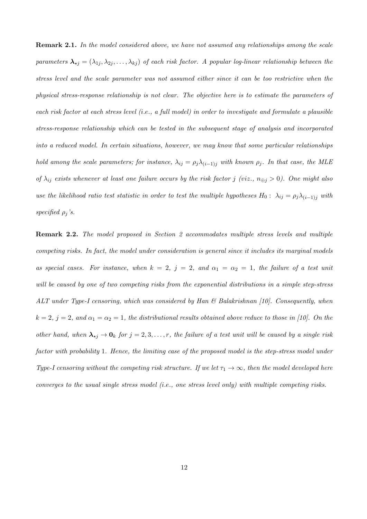**Remark 2.1.** In the model considered above, we have not assumed any relationships among the scale parameters  $\lambda_{\star j} = (\lambda_{1j}, \lambda_{2j}, \ldots, \lambda_{kj})$  of each risk factor. A popular log-linear relationship between the stress level and the scale parameter was not assumed either since it can be too restrictive when the physical stress-response relationship is not clear. The objective here is to estimate the parameters of each risk factor at each stress level (i.e., a full model) in order to investigate and formulate a plausible stress-response relationship which can be tested in the subsequent stage of analysis and incorporated into a reduced model. In certain situations, however, we may know that some particular relationships hold among the scale parameters; for instance,  $\lambda_{ij} = \rho_j \lambda_{(i-1)j}$  with known  $\rho_j$ . In that case, the MLE of  $\lambda_{ij}$  exists whenever at least one failure occurs by the risk factor j (viz.,  $n_{\oplus j} > 0$ ). One might also use the likelihood ratio test statistic in order to test the multiple hypotheses  $H_0: \lambda_{ij} = \rho_j \lambda_{(i-1)j}$  with specified  $\rho_j$ 's.

Remark 2.2. The model proposed in Section 2 accommodates multiple stress levels and multiple competing risks. In fact, the model under consideration is general since it includes its marginal models as special cases. For instance, when  $k = 2$ ,  $j = 2$ , and  $\alpha_1 = \alpha_2 = 1$ , the failure of a test unit will be caused by one of two competing risks from the exponential distributions in a simple step-stress ALT under Type-I censoring, which was considered by Han  $\mathcal B$  Balakrishnan [10]. Consequently, when  $k = 2$ ,  $j = 2$ , and  $\alpha_1 = \alpha_2 = 1$ , the distributional results obtained above reduce to those in [10]. On the other hand, when  $\lambda_{\star j} \to 0_k$  for  $j = 2, 3, \ldots, r$ , the failure of a test unit will be caused by a single risk factor with probability 1. Hence, the limiting case of the proposed model is the step-stress model under Type-I censoring without the competing risk structure. If we let  $\tau_1 \to \infty$ , then the model developed here converges to the usual single stress model (i.e., one stress level only) with multiple competing risks.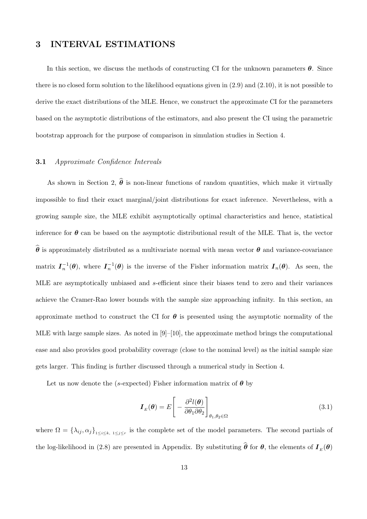## 3 INTERVAL ESTIMATIONS

In this section, we discuss the methods of constructing CI for the unknown parameters  $\theta$ . Since there is no closed form solution to the likelihood equations given in (2.9) and (2.10), it is not possible to derive the exact distributions of the MLE. Hence, we construct the approximate CI for the parameters based on the asymptotic distributions of the estimators, and also present the CI using the parametric bootstrap approach for the purpose of comparison in simulation studies in Section 4.

#### 3.1 Approximate Confidence Intervals

As shown in Section 2,  $\hat{\theta}$  is non-linear functions of random quantities, which make it virtually impossible to find their exact marginal/joint distributions for exact inference. Nevertheless, with a growing sample size, the MLE exhibit asymptotically optimal characteristics and hence, statistical inference for  $\theta$  can be based on the asymptotic distributional result of the MLE. That is, the vector  $\hat{\theta}$  is approximately distributed as a multivariate normal with mean vector  $\theta$  and variance-covariance matrix  $I_n^{-1}(\theta)$ , where  $I_n^{-1}(\theta)$  is the inverse of the Fisher information matrix  $I_n(\theta)$ . As seen, the MLE are asymptotically unbiased and s-efficient since their biases tend to zero and their variances achieve the Cramer-Rao lower bounds with the sample size approaching infinity. In this section, an approximate method to construct the CI for  $\theta$  is presented using the asymptotic normality of the MLE with large sample sizes. As noted in  $[9]$ –[10], the approximate method brings the computational ease and also provides good probability coverage (close to the nominal level) as the initial sample size gets larger. This finding is further discussed through a numerical study in Section 4.

Let us now denote the (s-expected) Fisher information matrix of  $\theta$  by

$$
\boldsymbol{I}_{E}(\boldsymbol{\theta}) = E \left[ -\frac{\partial^2 l(\boldsymbol{\theta})}{\partial \theta_1 \partial \theta_2} \right]_{\theta_1, \theta_2 \in \Omega} \tag{3.1}
$$

where  $\Omega = \{\lambda_{ij}, \alpha_j\}_{1 \le i \le k, 1 \le j \le r}$  is the complete set of the model parameters. The second partials of the log-likelihood in (2.8) are presented in Appendix. By substituting  $\theta$  for  $\theta$ , the elements of  $I_{E}(\theta)$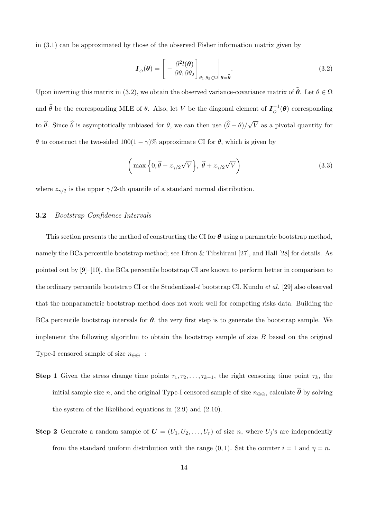in (3.1) can be approximated by those of the observed Fisher information matrix given by

$$
\boldsymbol{I}_{\scriptscriptstyle O}(\boldsymbol{\theta}) = \left[ -\frac{\partial^2 l(\boldsymbol{\theta})}{\partial \theta_1 \partial \theta_2} \right]_{\theta_1, \theta_2 \in \Omega} \bigg|_{\boldsymbol{\theta} = \widehat{\boldsymbol{\theta}}}.
$$
\n(3.2)

Upon inverting this matrix in (3.2), we obtain the observed variance-covariance matrix of  $\hat{\theta}$ . Let  $\theta \in \Omega$ and  $\hat{\theta}$  be the corresponding MLE of  $\theta$ . Also, let V be the diagonal element of  $I_{\phi}^{-1}(\theta)$  corresponding to  $\theta$ . Since  $\theta$  is asymptotically unbiased for  $\theta$ , we can then use  $(\theta - \theta)$ / √ V as a pivotal quantity for θ to construct the two-sided  $100(1 − γ)$ % approximate CI for θ, which is given by

$$
\left(\max\left\{0,\hat{\theta}-z_{\gamma/2}\sqrt{V}\right\},\ \hat{\theta}+z_{\gamma/2}\sqrt{V}\right)
$$
\n(3.3)

where  $z_{\gamma/2}$  is the upper  $\gamma/2$ -th quantile of a standard normal distribution.

#### 3.2 Bootstrap Confidence Intervals

This section presents the method of constructing the CI for  $\theta$  using a parametric bootstrap method, namely the BCa percentile bootstrap method; see Efron & Tibshirani [27], and Hall [28] for details. As pointed out by [9]–[10], the BCa percentile bootstrap CI are known to perform better in comparison to the ordinary percentile bootstrap CI or the Studentized-t bootstrap CI. Kundu *et al.* [29] also observed that the nonparametric bootstrap method does not work well for competing risks data. Building the BCa percentile bootstrap intervals for  $\theta$ , the very first step is to generate the bootstrap sample. We implement the following algorithm to obtain the bootstrap sample of size  $B$  based on the original Type-I censored sample of size  $n_{\oplus\oplus}$ :

- Step 1 Given the stress change time points  $\tau_1, \tau_2, \ldots, \tau_{k-1}$ , the right censoring time point  $\tau_k$ , the initial sample size n, and the original Type-I censored sample of size  $n_{\oplus\oplus}$ , calculate  $\widehat{\boldsymbol{\theta}}$  by solving the system of the likelihood equations in (2.9) and (2.10).
- **Step 2** Generate a random sample of  $U = (U_1, U_2, \ldots, U_r)$  of size n, where  $U_j$ 's are independently from the standard uniform distribution with the range  $(0, 1)$ . Set the counter  $i = 1$  and  $\eta = n$ .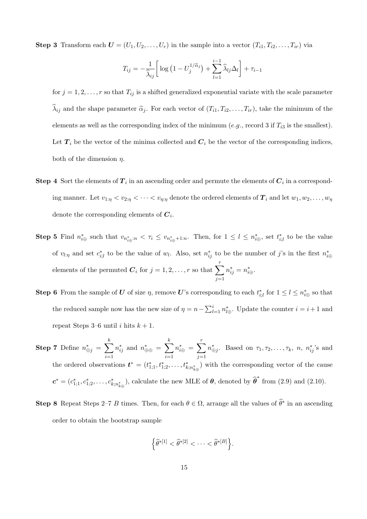**Step 3** Transform each  $U = (U_1, U_2, \ldots, U_r)$  in the sample into a vector  $(T_{i1}, T_{i2}, \ldots, T_{ir})$  via

$$
T_{ij} = -\frac{1}{\widehat{\lambda}_{ij}} \left[ \log \left( 1 - U_j^{1/\widehat{\alpha}_j} \right) + \sum_{l=1}^{i-1} \widehat{\lambda}_{lj} \Delta_l \right] + \tau_{i-1}
$$

for  $j = 1, 2, \ldots, r$  so that  $T_{ij}$  is a shifted generalized exponential variate with the scale parameter  $\widehat{\lambda}_{ij}$  and the shape parameter  $\widehat{\alpha}_j$ . For each vector of  $(T_{i1}, T_{i2}, \ldots, T_{ir})$ , take the minimum of the elements as well as the corresponding index of the minimum (e.g., record 3 if  $T_{i3}$  is the smallest). Let  $T_i$  be the vector of the minima collected and  $C_i$  be the vector of the corresponding indices, both of the dimension  $\eta$ .

- **Step 4** Sort the elements of  $T_i$  in an ascending order and permute the elements of  $C_i$  in a corresponding manner. Let  $v_{1:\eta} < v_{2:\eta} < \cdots < v_{\eta:\eta}$  denote the ordered elements of  $T_i$  and let  $w_1, w_2, \ldots, w_{\eta}$ denote the corresponding elements of  $C_i$ .
- **Step 5** Find  $n_{i\oplus}^*$  such that  $v_{n_{i\oplus}^*n} < \tau_i \le v_{n_{i\oplus}^*+1:n}$ . Then, for  $1 \le l \le n_{i\oplus}^*$ , set  $t_{i,l}^*$  to be the value of  $v_{l:\eta}$  and set  $c_{i;l}^*$  to be the value of  $w_l$ . Also, set  $n_{ij}^*$  to be the number of j's in the first  $n_{i\oplus}^*$ elements of the permuted  $\boldsymbol{C}_i$  for  $j = 1, 2, \ldots, r$  so that  $\sum_{i=1}^r$  $j=1$  $n_{ij}^* = n_{i\oplus}^*$ .
- **Step 6** From the sample of U of size  $\eta$ , remove U's corresponding to each  $t_{i;l}^*$  for  $1 \leq l \leq n_{i\oplus}^*$  so that the reduced sample now has the new size of  $\eta = n - \sum_{l=1}^{i} n_{l\oplus}^*$ . Update the counter  $i = i + 1$  and repeat Steps 3–6 until i hits  $k + 1$ .
- Step 7 Define  $n^*_{\oplus j} = \sum$ k  $i=1$  $n_{ij}^*$  and  $n_{\oplus\oplus}^* = \sum$ k  $i=1$  $n_{i\oplus}^* = \sum^r$  $j=1$  $n^*_{\oplus j}$ . Based on  $\tau_1, \tau_2, \ldots, \tau_k$ ,  $n, n^*_{ij}$ 's and the ordered observations  $t^* = (t^*_{1;1}, t^*_{1;2}, \ldots, t^*_{k;n^*_{k\oplus}})$  with the corresponding vector of the cause  $\boldsymbol{c}^* = (c_{1,1}^*, c_{1,2}^*, \ldots, c_{k,n_{k\oplus}^*}^*)$ , calculate the new MLE of  $\boldsymbol{\theta}$ , denoted by  $\widehat{\boldsymbol{\theta}}^*$  from (2.9) and (2.10).
- **Step 8** Repeat Steps 2–7 B times. Then, for each  $\theta \in \Omega$ , arrange all the values of  $\hat{\theta}^*$  in an ascending order to obtain the bootstrap sample

$$
\left\{\widehat{\theta}^{*[1]}<\widehat{\theta}^{*[2]}<\cdots<\widehat{\theta}^{*[B]}\right\}.
$$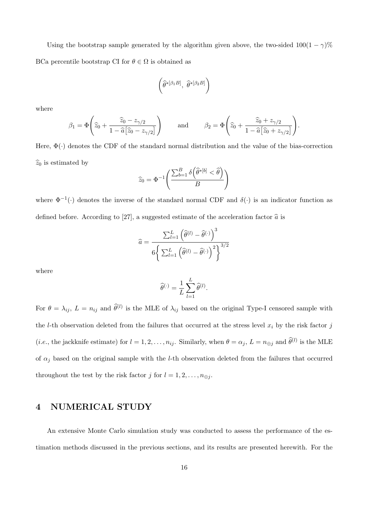Using the bootstrap sample generated by the algorithm given above, the two-sided  $100(1 - \gamma)\%$ BCa percentile bootstrap CI for  $\theta \in \Omega$  is obtained as

$$
\left(\widehat{\theta}^{*[\beta_1B]}, \ \widehat{\theta}^{*[\beta_2B]}\right)
$$

where

$$
\beta_1 = \Phi\left(\widehat{z}_0 + \frac{\widehat{z}_0 - z_{\gamma/2}}{1 - \widehat{a}[\widehat{z}_0 - z_{\gamma/2}]} \right) \quad \text{and} \quad \beta_2 = \Phi\left(\widehat{z}_0 + \frac{\widehat{z}_0 + z_{\gamma/2}}{1 - \widehat{a}[\widehat{z}_0 + z_{\gamma/2}]} \right).
$$

Here,  $\Phi(\cdot)$  denotes the CDF of the standard normal distribution and the value of the bias-correction  $\widehat{z}_0$  is estimated by

$$
\widehat{z}_0 = \Phi^{-1}\left(\frac{\sum_{b=1}^B \delta\left(\widehat{\theta}^*^{[b]} < \widehat{\theta}\right)}{B}\right)
$$

where  $\Phi^{-1}(\cdot)$  denotes the inverse of the standard normal CDF and  $\delta(\cdot)$  is an indicator function as defined before. According to [27], a suggested estimate of the acceleration factor  $\hat{a}$  is

$$
\widehat{a} = \frac{\sum_{l=1}^{L} (\widehat{\theta}^{(l)} - \widehat{\theta}^{(\cdot)})^3}{6 \left\{ \sum_{l=1}^{L} (\widehat{\theta}^{(l)} - \widehat{\theta}^{(\cdot)})^2 \right\}^{3/2}}
$$

where

$$
\widehat{\theta}^{(\cdot)} = \frac{1}{L} \sum_{l=1}^{L} \widehat{\theta}^{(l)}.
$$

For  $\theta = \lambda_{ij}$ ,  $L = n_{ij}$  and  $\hat{\theta}^{(l)}$  is the MLE of  $\lambda_{ij}$  based on the original Type-I censored sample with the *l*-th observation deleted from the failures that occurred at the stress level  $x_i$  by the risk factor  $j$ (*i.e.*, the jackknife estimate) for  $l = 1, 2, ..., n_{ij}$ . Similarly, when  $\theta = \alpha_j$ ,  $L = n_{\oplus j}$  and  $\widehat{\theta}^{(l)}$  is the MLE of  $\alpha_j$  based on the original sample with the *l*-th observation deleted from the failures that occurred throughout the test by the risk factor j for  $l = 1, 2, \ldots, n_{\oplus i}$ .

## 4 NUMERICAL STUDY

An extensive Monte Carlo simulation study was conducted to assess the performance of the estimation methods discussed in the previous sections, and its results are presented herewith. For the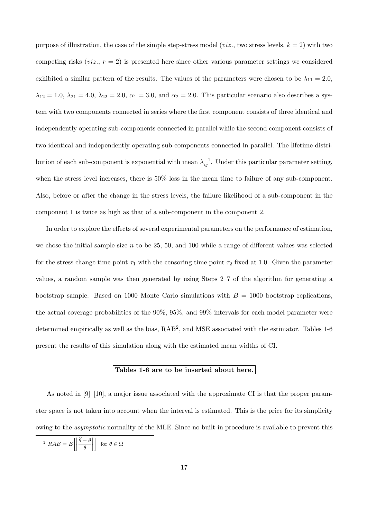purpose of illustration, the case of the simple step-stress model (*viz.*, two stress levels,  $k = 2$ ) with two competing risks (*viz.*,  $r = 2$ ) is presented here since other various parameter settings we considered exhibited a similar pattern of the results. The values of the parameters were chosen to be  $\lambda_{11} = 2.0$ ,  $\lambda_{12} = 1.0, \lambda_{21} = 4.0, \lambda_{22} = 2.0, \alpha_1 = 3.0, \text{ and } \alpha_2 = 2.0.$  This particular scenario also describes a system with two components connected in series where the first component consists of three identical and independently operating sub-components connected in parallel while the second component consists of two identical and independently operating sub-components connected in parallel. The lifetime distribution of each sub-component is exponential with mean  $\lambda_{ij}^{-1}$ . Under this particular parameter setting, when the stress level increases, there is 50% loss in the mean time to failure of any sub-component. Also, before or after the change in the stress levels, the failure likelihood of a sub-component in the component 1 is twice as high as that of a sub-component in the component 2.

In order to explore the effects of several experimental parameters on the performance of estimation, we chose the initial sample size  $n$  to be 25, 50, and 100 while a range of different values was selected for the stress change time point  $\tau_1$  with the censoring time point  $\tau_2$  fixed at 1.0. Given the parameter values, a random sample was then generated by using Steps 2–7 of the algorithm for generating a bootstrap sample. Based on 1000 Monte Carlo simulations with  $B = 1000$  bootstrap replications, the actual coverage probabilities of the 90%, 95%, and 99% intervals for each model parameter were determined empirically as well as the bias, RAB<sup>2</sup>, and MSE associated with the estimator. Tables 1-6 present the results of this simulation along with the estimated mean widths of CI.

#### Tables 1-6 are to be inserted about here.

As noted in  $[9]$ –[10], a major issue associated with the approximate CI is that the proper parameter space is not taken into account when the interval is estimated. This is the price for its simplicity owing to the asymptotic normality of the MLE. Since no built-in procedure is available to prevent this

$$
^{2}RAB = E\left[\left|\frac{\widehat{\theta} - \theta}{\theta}\right|\right] \text{ for } \theta \in \Omega
$$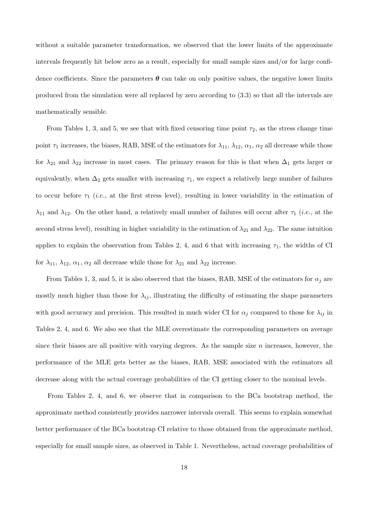without a suitable parameter transformation, we observed that the lower limits of the approximate intervals frequently hit below zero as a result, especially for small sample sizes and/or for large confidence coefficients. Since the parameters  $\theta$  can take on only positive values, the negative lower limits produced from the simulation were all replaced by zero according to (3.3) so that all the intervals are mathematically sensible.

From Tables 1, 3, and 5, we see that with fixed censoring time point  $\tau_2$ , as the stress change time point  $\tau_1$  increases, the biases, RAB, MSE of the estimators for  $\lambda_{11}$ ,  $\lambda_{12}$ ,  $\alpha_1$ ,  $\alpha_2$  all decrease while those for  $\lambda_{21}$  and  $\lambda_{22}$  increase in most cases. The primary reason for this is that when  $\Delta_1$  gets larger or equivalently, when  $\Delta_2$  gets smaller with increasing  $\tau_1$ , we expect a relatively large number of failures to occur before  $\tau_1$  (*i.e.*, at the first stress level), resulting in lower variability in the estimation of  $\lambda_{11}$  and  $\lambda_{12}$ . On the other hand, a relatively small number of failures will occur after  $\tau_1$  (*i.e.*, at the second stress level), resulting in higher variability in the estimation of  $\lambda_{21}$  and  $\lambda_{22}$ . The same intuition applies to explain the observation from Tables 2, 4, and 6 that with increasing  $\tau_1$ , the widths of CI for  $\lambda_{11}$ ,  $\lambda_{12}$ ,  $\alpha_1$ ,  $\alpha_2$  all decrease while those for  $\lambda_{21}$  and  $\lambda_{22}$  increase.

From Tables 1, 3, and 5, it is also observed that the biases, RAB, MSE of the estimators for  $\alpha_i$  are mostly much higher than those for  $\lambda_{ij}$ , illustrating the difficulty of estimating the shape parameters with good accuracy and precision. This resulted in much wider CI for  $\alpha_j$  compared to those for  $\lambda_{ij}$  in Tables 2, 4, and 6. We also see that the MLE overestimate the corresponding parameters on average since their biases are all positive with varying degrees. As the sample size  $n$  increases, however, the performance of the MLE gets better as the biases, RAB, MSE associated with the estimators all decrease along with the actual coverage probabilities of the CI getting closer to the nominal levels.

From Tables 2, 4, and 6, we observe that in comparison to the BCa bootstrap method, the approximate method consistently provides narrower intervals overall. This seems to explain somewhat better performance of the BCa bootstrap CI relative to those obtained from the approximate method, especially for small sample sizes, as observed in Table 1. Nevertheless, actual coverage probabilities of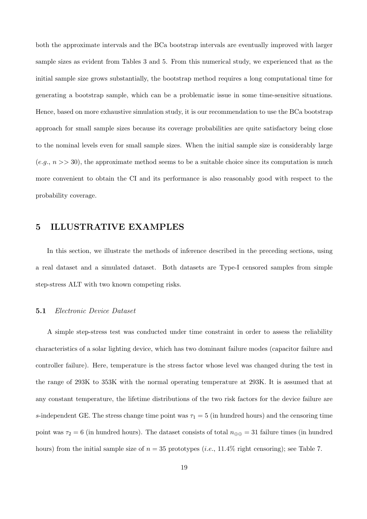both the approximate intervals and the BCa bootstrap intervals are eventually improved with larger sample sizes as evident from Tables 3 and 5. From this numerical study, we experienced that as the initial sample size grows substantially, the bootstrap method requires a long computational time for generating a bootstrap sample, which can be a problematic issue in some time-sensitive situations. Hence, based on more exhaustive simulation study, it is our recommendation to use the BCa bootstrap approach for small sample sizes because its coverage probabilities are quite satisfactory being close to the nominal levels even for small sample sizes. When the initial sample size is considerably large  $(e.g., n >> 30)$ , the approximate method seems to be a suitable choice since its computation is much more convenient to obtain the CI and its performance is also reasonably good with respect to the probability coverage.

## 5 ILLUSTRATIVE EXAMPLES

In this section, we illustrate the methods of inference described in the preceding sections, using a real dataset and a simulated dataset. Both datasets are Type-I censored samples from simple step-stress ALT with two known competing risks.

#### 5.1 Electronic Device Dataset

A simple step-stress test was conducted under time constraint in order to assess the reliability characteristics of a solar lighting device, which has two dominant failure modes (capacitor failure and controller failure). Here, temperature is the stress factor whose level was changed during the test in the range of 293K to 353K with the normal operating temperature at 293K. It is assumed that at any constant temperature, the lifetime distributions of the two risk factors for the device failure are s-independent GE. The stress change time point was  $\tau_1 = 5$  (in hundred hours) and the censoring time point was  $\tau_2 = 6$  (in hundred hours). The dataset consists of total  $n_{\oplus\oplus} = 31$  failure times (in hundred hours) from the initial sample size of  $n = 35$  prototypes (*i.e.*, 11.4% right censoring); see Table 7.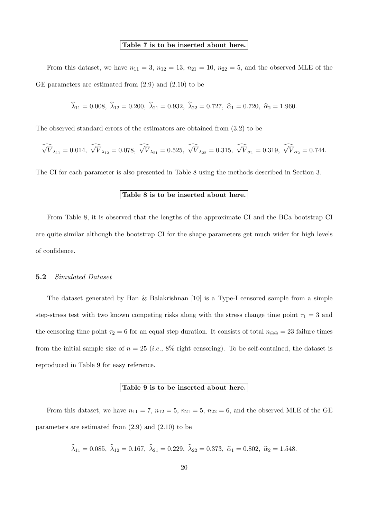#### Table 7 is to be inserted about here.

From this dataset, we have  $n_{11} = 3$ ,  $n_{12} = 13$ ,  $n_{21} = 10$ ,  $n_{22} = 5$ , and the observed MLE of the GE parameters are estimated from (2.9) and (2.10) to be

 $\widehat{\lambda}_{11} = 0.008, \ \widehat{\lambda}_{12} = 0.200, \ \widehat{\lambda}_{21} = 0.932, \ \widehat{\lambda}_{22} = 0.727, \ \widehat{\alpha}_1 = 0.720, \ \widehat{\alpha}_2 = 1.960.$ 

The observed standard errors of the estimators are obtained from (3.2) to be

$$
\widehat{\sqrt{V}}_{\lambda_{11}} = 0.014, \,\widehat{\sqrt{V}}_{\lambda_{12}} = 0.078, \,\widehat{\sqrt{V}}_{\lambda_{21}} = 0.525, \,\widehat{\sqrt{V}}_{\lambda_{22}} = 0.315, \,\widehat{\sqrt{V}}_{\alpha_1} = 0.319, \,\widehat{\sqrt{V}}_{\alpha_2} = 0.744.
$$

The CI for each parameter is also presented in Table 8 using the methods described in Section 3.

### Table 8 is to be inserted about here.

From Table 8, it is observed that the lengths of the approximate CI and the BCa bootstrap CI are quite similar although the bootstrap CI for the shape parameters get much wider for high levels of confidence.

#### 5.2 Simulated Dataset

The dataset generated by Han & Balakrishnan [10] is a Type-I censored sample from a simple step-stress test with two known competing risks along with the stress change time point  $\tau_1 = 3$  and the censoring time point  $\tau_2 = 6$  for an equal step duration. It consists of total  $n_{\oplus\oplus} = 23$  failure times from the initial sample size of  $n = 25$  (*i.e.*, 8% right censoring). To be self-contained, the dataset is reproduced in Table 9 for easy reference.

#### Table 9 is to be inserted about here.

From this dataset, we have  $n_{11} = 7$ ,  $n_{12} = 5$ ,  $n_{21} = 5$ ,  $n_{22} = 6$ , and the observed MLE of the GE parameters are estimated from (2.9) and (2.10) to be

$$
\hat{\lambda}_{11} = 0.085, \ \hat{\lambda}_{12} = 0.167, \ \hat{\lambda}_{21} = 0.229, \ \hat{\lambda}_{22} = 0.373, \ \hat{\alpha}_1 = 0.802, \ \hat{\alpha}_2 = 1.548.
$$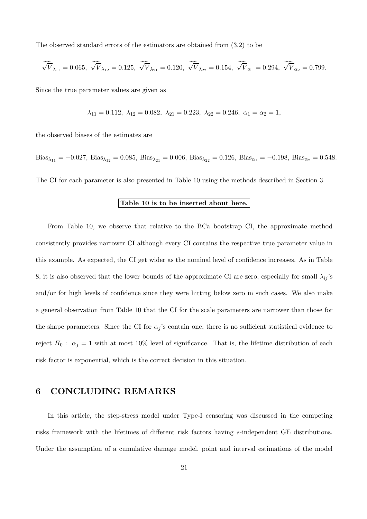The observed standard errors of the estimators are obtained from (3.2) to be

$$
\widehat{\sqrt{V}}_{\lambda_{11}} = 0.065, \widehat{\sqrt{V}}_{\lambda_{12}} = 0.125, \widehat{\sqrt{V}}_{\lambda_{21}} = 0.120, \widehat{\sqrt{V}}_{\lambda_{22}} = 0.154, \widehat{\sqrt{V}}_{\alpha_1} = 0.294, \widehat{\sqrt{V}}_{\alpha_2} = 0.799.
$$

Since the true parameter values are given as

$$
\lambda_{11} = 0.112, \ \lambda_{12} = 0.082, \ \lambda_{21} = 0.223, \ \lambda_{22} = 0.246, \ \alpha_1 = \alpha_2 = 1,
$$

the observed biases of the estimates are

Bias<sub> $\lambda_{11} = -0.027$ , Bias $\lambda_{12} = 0.085$ , Bias $\lambda_{21} = 0.006$ , Bias $\lambda_{22} = 0.126$ , Bias $\alpha_1 = -0.198$ , Bias $\alpha_2 = 0.548$ .</sub> The CI for each parameter is also presented in Table 10 using the methods described in Section 3.

#### Table 10 is to be inserted about here.

From Table 10, we observe that relative to the BCa bootstrap CI, the approximate method consistently provides narrower CI although every CI contains the respective true parameter value in this example. As expected, the CI get wider as the nominal level of confidence increases. As in Table 8, it is also observed that the lower bounds of the approximate CI are zero, especially for small  $\lambda_{ij}$ 's and/or for high levels of confidence since they were hitting below zero in such cases. We also make a general observation from Table 10 that the CI for the scale parameters are narrower than those for the shape parameters. Since the CI for  $\alpha_j$ 's contain one, there is no sufficient statistical evidence to reject  $H_0: \alpha_j = 1$  with at most 10% level of significance. That is, the lifetime distribution of each risk factor is exponential, which is the correct decision in this situation.

## 6 CONCLUDING REMARKS

In this article, the step-stress model under Type-I censoring was discussed in the competing risks framework with the lifetimes of different risk factors having s-independent GE distributions. Under the assumption of a cumulative damage model, point and interval estimations of the model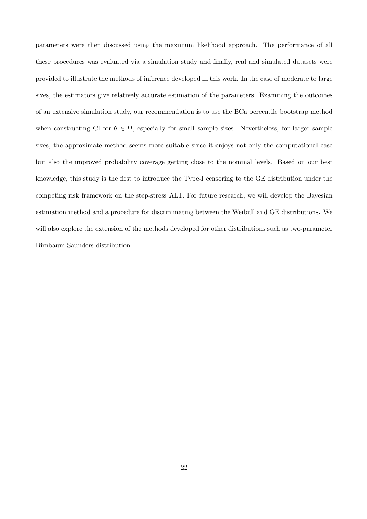parameters were then discussed using the maximum likelihood approach. The performance of all these procedures was evaluated via a simulation study and finally, real and simulated datasets were provided to illustrate the methods of inference developed in this work. In the case of moderate to large sizes, the estimators give relatively accurate estimation of the parameters. Examining the outcomes of an extensive simulation study, our recommendation is to use the BCa percentile bootstrap method when constructing CI for  $\theta \in \Omega$ , especially for small sample sizes. Nevertheless, for larger sample sizes, the approximate method seems more suitable since it enjoys not only the computational ease but also the improved probability coverage getting close to the nominal levels. Based on our best knowledge, this study is the first to introduce the Type-I censoring to the GE distribution under the competing risk framework on the step-stress ALT. For future research, we will develop the Bayesian estimation method and a procedure for discriminating between the Weibull and GE distributions. We will also explore the extension of the methods developed for other distributions such as two-parameter Birnbaum-Saunders distribution.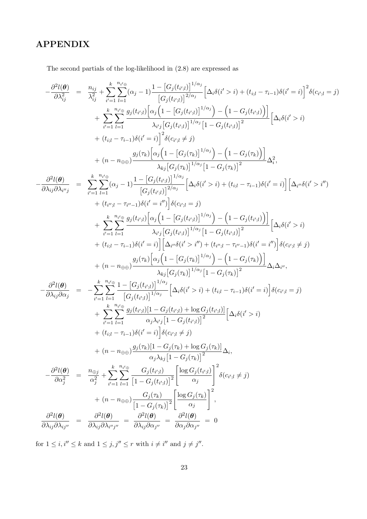## APPENDIX

The second partials of the log-likelihood in (2.8) are expressed as

$$
-\frac{\partial^2 l(\theta)}{\partial \lambda_{ij}^2} = \frac{n_{ij}}{\lambda_{ij}^2} + \sum_{i=1}^{n_{i}l_{i}} \left[ \alpha_{j} - 1 \right] \frac{1 - \left[ G_{j}(t_{i'j}) \right]^{1/\alpha_{j}}}{\left[ G_{j}(t_{i'j}) \right]^{2/\alpha_{j}}} \left[ \Delta_{i}\delta(i' > i) + (t_{i:l} - \tau_{i-1})\delta(i' = i) \right]^{2} \delta(c_{i'j} = j)
$$
\n
$$
+ \sum_{i'=1}^{n_{i}l_{i}} \frac{e^{n_{i'j_{i}}g_{j}(t_{i'j}) \left[ \alpha_{j} \left( 1 - \left[ G_{j}(t_{i'j}) \right]^{1/\alpha_{j}} \right] - \left( 1 - G_{j}(t_{i'j}) \right) \right]}{\lambda_{i'j} \left[ G_{i}(t_{i'j}) \right]^{1/\alpha_{j}} \left[ 1 - G_{j}(t_{i'j}) \right]^{2}} \left[ \Delta_{i}\delta(i' > i) \right]
$$
\n
$$
+ (t_{i,l} - \tau_{i-1})\delta(i' = i) \right]^{2} \delta(c_{i'j} \neq j)
$$
\n
$$
+ (n - n_{\oplus \oplus}) \frac{g_{j}(\tau_{k}) \left[ \alpha_{j} \left( 1 - \left[ G_{j}(\tau_{k}) \right] \right]^{1/\alpha_{j}} \right] - \left( 1 - G_{j}(\tau_{k}) \right) \right]}{\lambda_{k}j \left[ G_{j}(t_{i'j}) \right]^{1/\alpha_{j}} \left[ 1 - G_{j}(\tau_{k}) \right]^{2}} \Delta_{i}^{2},
$$
\n
$$
- \frac{\partial^{2}l(\theta)}{\partial \lambda_{ij}\partial \lambda_{i'j}} = \sum_{i'=1}^{k} \sum_{l=1}^{n_{i'j_{i}}} (\alpha_{j} - 1) \frac{1 - \left[ G_{j}(t_{i'j}) \right]^{1/\alpha_{j}}}{\left[ G_{j}(t_{i'j}) \right]^{1/\alpha_{j}} \left[ 1 - G_{j}(t_{i'j}) \right] \right]} \Delta_{i}^{2},
$$
\n
$$
+ \frac{\lambda_{k} \sum_{i'=1}^{n_{i'j_{i}}} \beta_{j}(t_{i'j
$$

for  $1 \leq i, i'' \leq k$  and  $1 \leq j, j'' \leq r$  with  $i \neq i''$  and  $j \neq j''$ .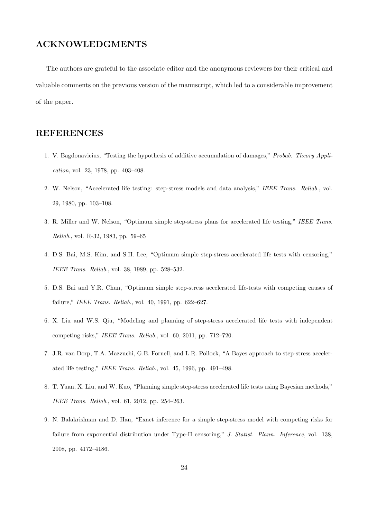## ACKNOWLEDGMENTS

The authors are grateful to the associate editor and the anonymous reviewers for their critical and valuable comments on the previous version of the manuscript, which led to a considerable improvement of the paper.

## REFERENCES

- 1. V. Bagdonavicius, "Testing the hypothesis of additive accumulation of damages," Probab. Theory Application, vol. 23, 1978, pp. 403–408.
- 2. W. Nelson, "Accelerated life testing: step-stress models and data analysis," IEEE Trans. Reliab., vol. 29, 1980, pp. 103–108.
- 3. R. Miller and W. Nelson, "Optimum simple step-stress plans for accelerated life testing," IEEE Trans. Reliab., vol. R-32, 1983, pp. 59–65
- 4. D.S. Bai, M.S. Kim, and S.H. Lee, "Optimum simple step-stress accelerated life tests with censoring," IEEE Trans. Reliab., vol. 38, 1989, pp. 528–532.
- 5. D.S. Bai and Y.R. Chun, "Optimum simple step-stress accelerated life-tests with competing causes of failure," IEEE Trans. Reliab., vol. 40, 1991, pp. 622–627.
- 6. X. Liu and W.S. Qiu, "Modeling and planning of step-stress accelerated life tests with independent competing risks," IEEE Trans. Reliab., vol. 60, 2011, pp. 712–720.
- 7. J.R. van Dorp, T.A. Mazzuchi, G.E. Fornell, and L.R. Pollock, "A Bayes approach to step-stress accelerated life testing," IEEE Trans. Reliab., vol. 45, 1996, pp. 491–498.
- 8. T. Yuan, X. Liu, and W. Kuo, "Planning simple step-stress accelerated life tests using Bayesian methods," IEEE Trans. Reliab., vol. 61, 2012, pp. 254–263.
- 9. N. Balakrishnan and D. Han, "Exact inference for a simple step-stress model with competing risks for failure from exponential distribution under Type-II censoring," J. Statist. Plann. Inference, vol. 138, 2008, pp. 4172–4186.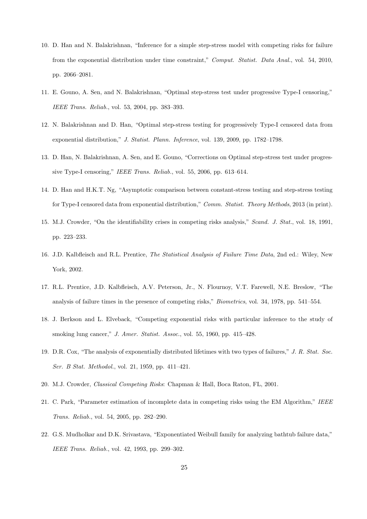- 10. D. Han and N. Balakrishnan, "Inference for a simple step-stress model with competing risks for failure from the exponential distribution under time constraint," Comput. Statist. Data Anal., vol. 54, 2010, pp. 2066–2081.
- 11. E. Gouno, A. Sen, and N. Balakrishnan, "Optimal step-stress test under progressive Type-I censoring," IEEE Trans. Reliab., vol. 53, 2004, pp. 383–393.
- 12. N. Balakrishnan and D. Han, "Optimal step-stress testing for progressively Type-I censored data from exponential distribution," J. Statist. Plann. Inference, vol. 139, 2009, pp. 1782–1798.
- 13. D. Han, N. Balakrishnan, A. Sen, and E. Gouno, "Corrections on Optimal step-stress test under progressive Type-I censoring," IEEE Trans. Reliab., vol. 55, 2006, pp. 613–614.
- 14. D. Han and H.K.T. Ng, "Asymptotic comparison between constant-stress testing and step-stress testing for Type-I censored data from exponential distribution," Comm. Statist. Theory Methods, 2013 (in print).
- 15. M.J. Crowder, "On the identifiability crises in competing risks analysis," Scand. J. Stat., vol. 18, 1991, pp. 223–233.
- 16. J.D. Kalbfleisch and R.L. Prentice, The Statistical Analysis of Failure Time Data, 2nd ed.: Wiley, New York, 2002.
- 17. R.L. Prentice, J.D. Kalbfleisch, A.V. Peterson, Jr., N. Flournoy, V.T. Farewell, N.E. Breslow, "The analysis of failure times in the presence of competing risks," Biometrics, vol. 34, 1978, pp. 541–554.
- 18. J. Berkson and L. Elveback, "Competing exponential risks with particular inference to the study of smoking lung cancer," J. Amer. Statist. Assoc., vol. 55, 1960, pp. 415–428.
- 19. D.R. Cox, "The analysis of exponentially distributed lifetimes with two types of failures," J. R. Stat. Soc. Ser. B Stat. Methodol., vol. 21, 1959, pp. 411–421.
- 20. M.J. Crowder, Classical Competing Risks: Chapman & Hall, Boca Raton, FL, 2001.
- 21. C. Park, "Parameter estimation of incomplete data in competing risks using the EM Algorithm," IEEE Trans. Reliab., vol. 54, 2005, pp. 282–290.
- 22. G.S. Mudholkar and D.K. Srivastava, "Exponentiated Weibull family for analyzing bathtub failure data," IEEE Trans. Reliab., vol. 42, 1993, pp. 299–302.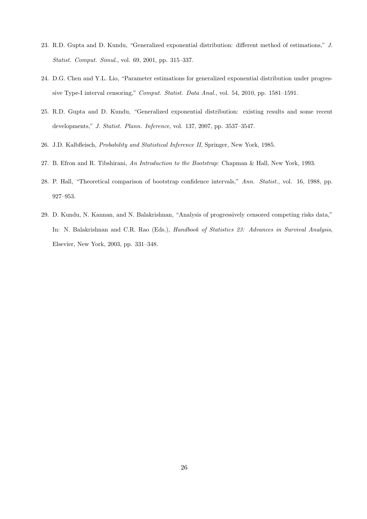- 23. R.D. Gupta and D. Kundu, "Generalized exponential distribution: different method of estimations," J. Statist. Comput. Simul., vol. 69, 2001, pp. 315–337.
- 24. D.G. Chen and Y.L. Lio, "Parameter estimations for generalized exponential distribution under progressive Type-I interval censoring," Comput. Statist. Data Anal., vol. 54, 2010, pp. 1581–1591.
- 25. R.D. Gupta and D. Kundu, "Generalized exponential distribution: existing results and some recent developments," J. Statist. Plann. Inference, vol. 137, 2007, pp. 3537–3547.
- 26. J.D. Kalbfleisch, Probability and Statistical Inference II, Springer, New York, 1985.
- 27. B. Efron and R. Tibshirani, An Introduction to the Bootstrap: Chapman & Hall, New York, 1993.
- 28. P. Hall, "Theoretical comparison of bootstrap confidence intervals," Ann. Statist., vol. 16, 1988, pp. 927–953.
- 29. D. Kundu, N. Kannan, and N. Balakrishnan, "Analysis of progressively censored competing risks data," In: N. Balakrishnan and C.R. Rao (Eds.), Handbook of Statistics 23: Advances in Survival Analysis, Elsevier, New York, 2003, pp. 331–348.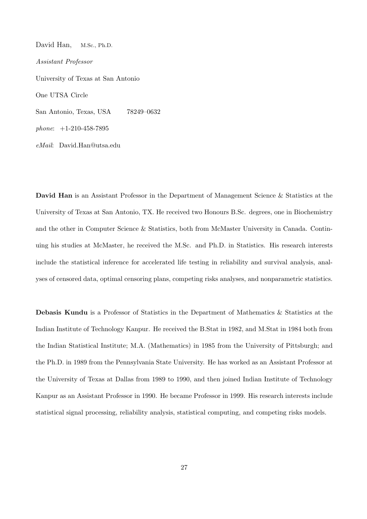David Han, M.Sc., Ph.D. Assistant Professor University of Texas at San Antonio One UTSA Circle San Antonio, Texas, USA 78249–0632 phone: +1-210-458-7895 eMail: David.Han@utsa.edu

David Han is an Assistant Professor in the Department of Management Science & Statistics at the University of Texas at San Antonio, TX. He received two Honours B.Sc. degrees, one in Biochemistry and the other in Computer Science & Statistics, both from McMaster University in Canada. Continuing his studies at McMaster, he received the M.Sc. and Ph.D. in Statistics. His research interests include the statistical inference for accelerated life testing in reliability and survival analysis, analyses of censored data, optimal censoring plans, competing risks analyses, and nonparametric statistics.

Debasis Kundu is a Professor of Statistics in the Department of Mathematics & Statistics at the Indian Institute of Technology Kanpur. He received the B.Stat in 1982, and M.Stat in 1984 both from the Indian Statistical Institute; M.A. (Mathematics) in 1985 from the University of Pittsburgh; and the Ph.D. in 1989 from the Pennsylvania State University. He has worked as an Assistant Professor at the University of Texas at Dallas from 1989 to 1990, and then joined Indian Institute of Technology Kanpur as an Assistant Professor in 1990. He became Professor in 1999. His research interests include statistical signal processing, reliability analysis, statistical computing, and competing risks models.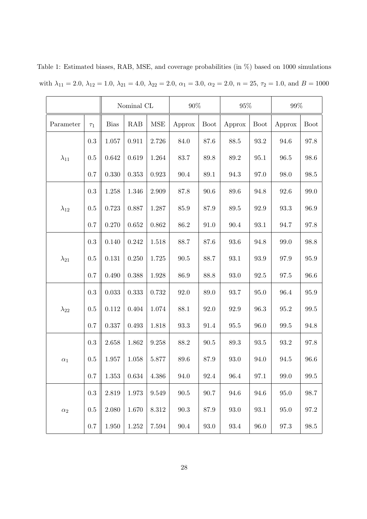|                |           | Nominal CL |             | $90\%$     |          | $95\%$      |          | $99\%$              |          |                     |
|----------------|-----------|------------|-------------|------------|----------|-------------|----------|---------------------|----------|---------------------|
| Parameter      | $\tau_1$  | Bias       | RAB         | <b>MSE</b> | Approx   | <b>Boot</b> | Approx   | <b>Boot</b>         | Approx   | <b>Boot</b>         |
|                | $\rm 0.3$ | 1.057      | 0.911       | 2.726      | 84.0     | $87.6\,$    | 88.5     | $93.2\,$            | 94.6     | 97.8                |
| $\lambda_{11}$ | 0.5       | 0.642      | 0.619       | 1.264      | 83.7     | $89.8\,$    | 89.2     | 95.1                | $96.5\,$ | 98.6                |
|                | 0.7       | 0.330      | 0.353       | 0.923      | 90.4     | $89.1\,$    | 94.3     | 97.0                | 98.0     | 98.5                |
|                | 0.3       | 1.258      | 1.346       | 2.909      | 87.8     | 90.6        | 89.6     | 94.8                | 92.6     | 99.0                |
| $\lambda_{12}$ | 0.5       | 0.723      | 0.887       | 1.287      | 85.9     | 87.9        | 89.5     | 92.9                | 93.3     | 96.9                |
|                | 0.7       | 0.270      | 0.652       | 0.862      | 86.2     | 91.0        | 90.4     | 93.1                | 94.7     | 97.8                |
|                | 0.3       | 0.140      | 0.242       | 1.518      | 88.7     | 87.6        | 93.6     | 94.8                | 99.0     | 98.8                |
| $\lambda_{21}$ | 0.5       | 0.131      | 0.250       | 1.725      | 90.5     | 88.7        | 93.1     | 93.9                | 97.9     | 95.9                |
|                | 0.7       | 0.490      | 0.388       | 1.928      | 86.9     | 88.8        | 93.0     | 92.5                | 97.5     | 96.6                |
|                | 0.3       | 0.033      | 0.333       | 0.732      | 92.0     | 89.0        | 93.7     | 95.0                | 96.4     | 95.9                |
| $\lambda_{22}$ | 0.5       | 0.112      | 0.404       | 1.074      | 88.1     | 92.0        | 92.9     | 96.3                | $95.2\,$ | 99.5                |
|                | 0.7       | 0.337      | 0.493       | 1.818      | 93.3     | 91.4        | 95.5     | 96.0                | 99.5     | 94.8                |
|                | 0.3       | 2.658      | 1.862       | 9.258      | 88.2     | $90.5\,$    | 89.3     | $\boldsymbol{93.5}$ | $93.2\,$ | 97.8                |
| $\alpha_1$     | 0.5       | 1.957      | 1.058       | 5.877      | 89.6     | 87.9        | 93.0     | 94.0                | 94.5     | 96.6                |
|                | $0.7\,$   | $1.353\,$  | $\,0.634\,$ | 4.386      | 94.0     | $92.4\,$    | 96.4     | 97.1                | $99.0\,$ | $\boldsymbol{99.5}$ |
|                | 0.3       | $2.819\,$  | 1.973       | 9.549      | $90.5\,$ | $90.7\,$    | 94.6     | 94.6                | $95.0\,$ | 98.7                |
| $\alpha_2$     | 0.5       | $2.080\,$  | 1.670       | $8.312\,$  | $90.3\,$ | 87.9        | $93.0\,$ | 93.1                | $95.0\,$ | $97.2\,$            |
|                | $0.7\,$   | $1.950\,$  | $1.252\,$   | 7.594      | $90.4\,$ | $93.0\,$    | $93.4\,$ | $96.0\,$            | 97.3     | $98.5\,$            |

Table 1: Estimated biases, RAB, MSE, and coverage probabilities (in %) based on 1000 simulations with  $\lambda_{11} = 2.0, \lambda_{12} = 1.0, \lambda_{21} = 4.0, \lambda_{22} = 2.0, \alpha_1 = 3.0, \alpha_2 = 2.0, n = 25, \tau_2 = 1.0, \text{ and } B = 1000$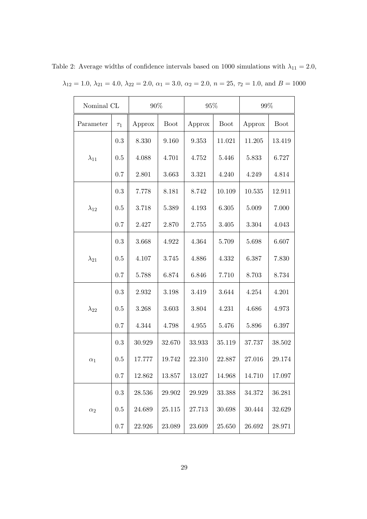| Nominal CL     |           | $90\%$ |             | 95%    |             | 99%    |             |
|----------------|-----------|--------|-------------|--------|-------------|--------|-------------|
| Parameter      | $\tau_1$  | Approx | <b>Boot</b> | Approx | <b>Boot</b> | Approx | <b>Boot</b> |
|                | $\rm 0.3$ | 8.330  | 9.160       | 9.353  | 11.021      | 11.205 | 13.419      |
| $\lambda_{11}$ | 0.5       | 4.088  | 4.701       | 4.752  | 5.446       | 5.833  | 6.727       |
|                | $0.7\,$   | 2.801  | 3.663       | 3.321  | 4.240       | 4.249  | 4.814       |
|                | 0.3       | 7.778  | 8.181       | 8.742  | 10.109      | 10.535 | 12.911      |
| $\lambda_{12}$ | 0.5       | 3.718  | 5.389       | 4.193  | 6.305       | 5.009  | 7.000       |
|                | $0.7\,$   | 2.427  | 2.870       | 2.755  | 3.405       | 3.304  | 4.043       |
|                | 0.3       | 3.668  | 4.922       | 4.364  | 5.709       | 5.698  | 6.607       |
| $\lambda_{21}$ | 0.5       | 4.107  | 3.745       | 4.886  | 4.332       | 6.387  | 7.830       |
|                | 0.7       | 5.788  | 6.874       | 6.846  | 7.710       | 8.703  | 8.734       |
|                | $\rm 0.3$ | 2.932  | 3.198       | 3.419  | 3.644       | 4.254  | 4.201       |
| $\lambda_{22}$ | 0.5       | 3.268  | 3.603       | 3.804  | 4.231       | 4.686  | 4.973       |
|                | 0.7       | 4.344  | 4.798       | 4.955  | 5.476       | 5.896  | 6.397       |
|                | $\rm 0.3$ | 30.929 | 32.670      | 33.933 | 35.119      | 37.737 | 38.502      |
| $\alpha_1$     | 0.5       | 17.777 | 19.742      | 22.310 | 22.887      | 27.016 | 29.174      |
|                | $0.7\,$   | 12.862 | 13.857      | 13.027 | 14.968      | 14.710 | 17.097      |
|                | $\rm 0.3$ | 28.536 | 29.902      | 29.929 | 33.388      | 34.372 | 36.281      |
| $\alpha_2$     | $0.5\,$   | 24.689 | 25.115      | 27.713 | 30.698      | 30.444 | 32.629      |
|                | $0.7\,$   | 22.926 | 23.089      | 23.609 | 25.650      | 26.692 | 28.971      |

Table 2: Average widths of confidence intervals based on 1000 simulations with  $\lambda_{11} = 2.0$ ,  $\lambda_{12} = 1.0, \lambda_{21} = 4.0, \lambda_{22} = 2.0, \alpha_1 = 3.0, \alpha_2 = 2.0, n = 25, \tau_2 = 1.0, \text{ and } B = 1000$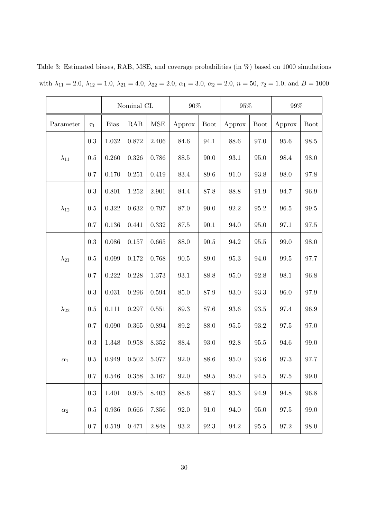|                |           | Nominal CL  |             | 90%         |          | $95\%$      |          | $99\%$      |          |                     |
|----------------|-----------|-------------|-------------|-------------|----------|-------------|----------|-------------|----------|---------------------|
| Parameter      | $\tau_1$  | <b>Bias</b> | RAB         | <b>MSE</b>  | Approx   | <b>Boot</b> | Approx   | <b>Boot</b> | Approx   | <b>Boot</b>         |
|                | 0.3       | 1.032       | 0.872       | 2.406       | 84.6     | 94.1        | 88.6     | 97.0        | 95.6     | 98.5                |
| $\lambda_{11}$ | 0.5       | 0.260       | 0.326       | 0.786       | 88.5     | 90.0        | 93.1     | 95.0        | 98.4     | 98.0                |
|                | 0.7       | 0.170       | 0.251       | 0.419       | $83.4\,$ | 89.6        | 91.0     | 93.8        | 98.0     | 97.8                |
|                | 0.3       | 0.801       | 1.252       | 2.901       | 84.4     | 87.8        | 88.8     | 91.9        | 94.7     | 96.9                |
| $\lambda_{12}$ | 0.5       | 0.322       | 0.632       | 0.797       | 87.0     | 90.0        | $92.2\,$ | $95.2\,$    | $96.5\,$ | $\boldsymbol{99.5}$ |
|                | 0.7       | $0.136\,$   | 0.441       | 0.332       | 87.5     | $90.1\,$    | 94.0     | 95.0        | $97.1\,$ | $97.5\,$            |
|                | 0.3       | 0.086       | 0.157       | 0.665       | 88.0     | $90.5\,$    | 94.2     | 95.5        | 99.0     | 98.0                |
| $\lambda_{21}$ | 0.5       | 0.099       | 0.172       | 0.768       | $90.5\,$ | 89.0        | $95.3\,$ | 94.0        | 99.5     | 97.7                |
|                | 0.7       | 0.222       | 0.228       | 1.373       | 93.1     | 88.8        | 95.0     | 92.8        | 98.1     | 96.8                |
|                | 0.3       | 0.031       | 0.296       | $\,0.594\,$ | $85.0\,$ | 87.9        | 93.0     | 93.3        | 96.0     | 97.9                |
| $\lambda_{22}$ | 0.5       | 0.111       | 0.297       | 0.551       | $89.3\,$ | 87.6        | 93.6     | 93.5        | 97.4     | 96.9                |
|                | 0.7       | 0.090       | 0.365       | 0.894       | 89.2     | 88.0        | $95.5\,$ | 93.2        | 97.5     | 97.0                |
|                | 0.3       | 1.348       | 0.958       | 8.352       | 88.4     | 93.0        | 92.8     | 95.5        | 94.6     | 99.0                |
| $\alpha_1$     | 0.5       | 0.949       | 0.502       | 5.077       | 92.0     | 88.6        | 95.0     | 93.6        | 97.3     | 97.7                |
|                | 0.7       | $0.546\,$   | 0.358       | $3.167\,$   | 92.0     | $89.5\,$    | $95.0\,$ | $94.5\,$    | 97.5     | 99.0                |
|                | $\rm 0.3$ | 1.401       | $\,0.975\,$ | $8.403\,$   | $88.6\,$ | 88.7        | $93.3\,$ | 94.9        | $94.8\,$ | 96.8                |
| $\alpha_2$     | 0.5       | 0.936       | 0.666       | 7.856       | 92.0     | 91.0        | 94.0     | $95.0\,$    | 97.5     | 99.0                |
|                | 0.7       | $\,0.519\,$ | 0.471       | 2.848       | $93.2\,$ | $92.3\,$    | $94.2\,$ | $95.5\,$    | $97.2\,$ | $98.0\,$            |

Table 3: Estimated biases, RAB, MSE, and coverage probabilities (in %) based on 1000 simulations with  $\lambda_{11} = 2.0, \lambda_{12} = 1.0, \lambda_{21} = 4.0, \lambda_{22} = 2.0, \alpha_1 = 3.0, \alpha_2 = 2.0, n = 50, \tau_2 = 1.0, \text{ and } B = 1000$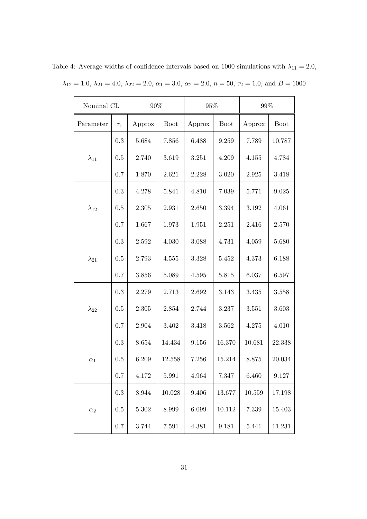| Nominal CL     |           | $90\%$    |             | 95%       |             | $99\%$ |             |
|----------------|-----------|-----------|-------------|-----------|-------------|--------|-------------|
| Parameter      | $\tau_1$  | Approx    | <b>Boot</b> | Approx    | <b>Boot</b> | Approx | <b>Boot</b> |
|                | $\rm 0.3$ | 5.684     | 7.856       | 6.488     | 9.259       | 7.789  | 10.787      |
| $\lambda_{11}$ | 0.5       | 2.740     | 3.619       | $3.251\,$ | 4.209       | 4.155  | 4.784       |
|                | $0.7\,$   | 1.870     | 2.621       | 2.228     | $3.020\,$   | 2.925  | 3.418       |
|                | 0.3       | 4.278     | 5.841       | 4.810     | 7.039       | 5.771  | 9.025       |
| $\lambda_{12}$ | 0.5       | 2.305     | 2.931       | 2.650     | 3.394       | 3.192  | 4.061       |
|                | $0.7\,$   | 1.667     | 1.973       | 1.951     | 2.251       | 2.416  | 2.570       |
|                | 0.3       | 2.592     | 4.030       | 3.088     | 4.731       | 4.059  | 5.680       |
| $\lambda_{21}$ | 0.5       | 2.793     | 4.555       | 3.328     | 5.452       | 4.373  | 6.188       |
|                | 0.7       | 3.856     | 5.089       | 4.595     | 5.815       | 6.037  | 6.597       |
|                | $\rm 0.3$ | 2.279     | 2.713       | 2.692     | 3.143       | 3.435  | 3.558       |
| $\lambda_{22}$ | 0.5       | 2.305     | 2.854       | 2.744     | 3.237       | 3.551  | 3.603       |
|                | 0.7       | 2.904     | 3.402       | 3.418     | 3.562       | 4.275  | 4.010       |
|                | $\rm 0.3$ | 8.654     | 14.434      | 9.156     | 16.370      | 10.681 | 22.338      |
| $\alpha_1$     | 0.5       | 6.209     | 12.558      | 7.256     | 15.214      | 8.875  | 20.034      |
|                | $0.7\,$   | 4.172     | 5.991       | 4.964     | 7.347       | 6.460  | 9.127       |
|                | $\rm 0.3$ | 8.944     | 10.028      | $9.406\,$ | 13.677      | 10.559 | 17.198      |
| $\alpha_2$     | $0.5\,$   | $5.302\,$ | 8.999       | 6.099     | 10.112      | 7.339  | 15.403      |
|                | $0.7\,$   | 3.744     | 7.591       | 4.381     | 9.181       | 5.441  | 11.231      |

Table 4: Average widths of confidence intervals based on 1000 simulations with  $\lambda_{11} = 2.0$ ,  $\lambda_{12} = 1.0, \lambda_{21} = 4.0, \lambda_{22} = 2.0, \alpha_1 = 3.0, \alpha_2 = 2.0, n = 50, \tau_2 = 1.0, \text{ and } B = 1000$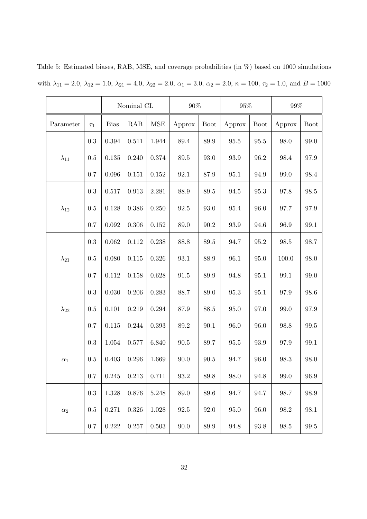|                |          |             | Nominal CL |            | 90%      |             | 95%      |             | 99%      |                     |
|----------------|----------|-------------|------------|------------|----------|-------------|----------|-------------|----------|---------------------|
| Parameter      | $\tau_1$ | <b>Bias</b> | RAB        | <b>MSE</b> | Approx   | <b>Boot</b> | Approx   | <b>Boot</b> | Approx   | <b>Boot</b>         |
|                | 0.3      | 0.394       | 0.511      | 1.944      | 89.4     | 89.9        | $95.5\,$ | 95.5        | 98.0     | 99.0                |
| $\lambda_{11}$ | 0.5      | 0.135       | 0.240      | $0.374\,$  | $89.5\,$ | 93.0        | $93.9\,$ | 96.2        | 98.4     | 97.9                |
|                | 0.7      | 0.096       | 0.151      | $0.152\,$  | 92.1     | 87.9        | 95.1     | 94.9        | 99.0     | 98.4                |
|                | 0.3      | 0.517       | 0.913      | 2.281      | 88.9     | 89.5        | 94.5     | 95.3        | 97.8     | 98.5                |
| $\lambda_{12}$ | 0.5      | 0.128       | 0.386      | 0.250      | $92.5\,$ | 93.0        | 95.4     | 96.0        | 97.7     | 97.9                |
|                | 0.7      | 0.092       | 0.306      | $0.152\,$  | 89.0     | 90.2        | 93.9     | 94.6        | 96.9     | 99.1                |
|                | 0.3      | 0.062       | 0.112      | 0.238      | 88.8     | 89.5        | 94.7     | 95.2        | 98.5     | 98.7                |
| $\lambda_{21}$ | 0.5      | 0.080       | 0.115      | 0.326      | 93.1     | 88.9        | 96.1     | 95.0        | 100.0    | 98.0                |
|                | 0.7      | 0.112       | 0.158      | 0.628      | $91.5\,$ | 89.9        | 94.8     | $95.1\,$    | 99.1     | 99.0                |
|                | 0.3      | 0.030       | 0.206      | 0.283      | 88.7     | 89.0        | 95.3     | 95.1        | 97.9     | 98.6                |
| $\lambda_{22}$ | 0.5      | 0.101       | 0.219      | $0.294\,$  | 87.9     | 88.5        | $95.0\,$ | 97.0        | 99.0     | 97.9                |
|                | 0.7      | 0.115       | 0.244      | 0.393      | $89.2\,$ | 90.1        | 96.0     | 96.0        | 98.8     | 99.5                |
|                | 0.3      | $1.054\,$   | 0.577      | 6.840      | $90.5\,$ | 89.7        | 95.5     | 93.9        | 97.9     | 99.1                |
| $\alpha_1$     | 0.5      | 0.403       | 0.296      | 1.669      | 90.0     | $90.5\,$    | 94.7     | 96.0        | 98.3     | 98.0                |
|                | 0.7      | $0.245\,$   | 0.213      | 0.711      | $93.2\,$ | $89.8\,$    | 98.0     | 94.8        | $99.0\,$ | 96.9                |
|                | 0.3      | 1.328       | 0.876      | $5.248\,$  | $89.0\,$ | 89.6        | 94.7     | 94.7        | 98.7     | 98.9                |
| $\alpha_2$     | 0.5      | 0.271       | 0.326      | 1.028      | 92.5     | 92.0        | 95.0     | 96.0        | 98.2     | 98.1                |
|                | 0.7      | 0.222       | $0.257\,$  | $0.503\,$  | 90.0     | $89.9\,$    | 94.8     | $93.8\,$    | $98.5\,$ | $\boldsymbol{99.5}$ |

Table 5: Estimated biases, RAB, MSE, and coverage probabilities (in %) based on 1000 simulations with  $\lambda_{11} = 2.0$ ,  $\lambda_{12} = 1.0$ ,  $\lambda_{21} = 4.0$ ,  $\lambda_{22} = 2.0$ ,  $\alpha_1 = 3.0$ ,  $\alpha_2 = 2.0$ ,  $n = 100$ ,  $\tau_2 = 1.0$ , and  $B = 1000$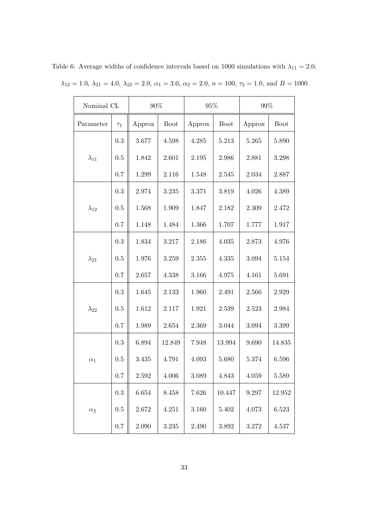| Nominal CL     |           | $90\%$ |             | $95\%$ |             | 99%    |             |
|----------------|-----------|--------|-------------|--------|-------------|--------|-------------|
| Parameter      | $\tau_1$  | Approx | <b>Boot</b> | Approx | <b>Boot</b> | Approx | <b>Boot</b> |
|                | 0.3       | 3.677  | 4.598       | 4.285  | 5.213       | 5.265  | 5.890       |
| $\lambda_{11}$ | 0.5       | 1.842  | 2.601       | 2.195  | 2.986       | 2.881  | 3.298       |
|                | 0.7       | 1.299  | 2.116       | 1.548  | 2.545       | 2.034  | 2.887       |
|                | 0.3       | 2.974  | 3.235       | 3.371  | 3.819       | 4.026  | 4.389       |
| $\lambda_{12}$ | 0.5       | 1.568  | 1.909       | 1.847  | 2.182       | 2.309  | 2.472       |
|                | 0.7       | 1.148  | 1.484       | 1.366  | 1.707       | 1.777  | 1.917       |
|                | 0.3       | 1.834  | 3.217       | 2.186  | 4.035       | 2.873  | 4.976       |
| $\lambda_{21}$ | 0.5       | 1.976  | 3.259       | 2.355  | 4.335       | 3.094  | 5.154       |
|                | 0.7       | 2.657  | 4.338       | 3.166  | 4.975       | 4.161  | 5.691       |
|                | $\rm 0.3$ | 1.645  | 2.133       | 1.960  | 2.491       | 2.566  | 2.929       |
| $\lambda_{22}$ | $0.5\,$   | 1.612  | 2.117       | 1.921  | 2.539       | 2.523  | 2.984       |
|                | 0.7       | 1.989  | 2.654       | 2.369  | 3.044       | 3.094  | 3.399       |
|                | $\rm 0.3$ | 6.894  | 12.849      | 7.948  | 13.994      | 9.690  | 14.835      |
| $\alpha_1$     | 0.5       | 3.435  | 4.791       | 4.093  | 5.680       | 5.374  | 6.596       |
|                | $0.7\,$   | 2.592  | 4.006       | 3.089  | 4.843       | 4.059  | 5.589       |
|                | $\rm 0.3$ | 6.654  | 8.458       | 7.626  | 10.447      | 9.297  | 12.952      |
| $\alpha_2$     | $0.5\,$   | 2.672  | 4.251       | 3.160  | 5.402       | 4.073  | 6.523       |
|                | $0.7\,$   | 2.090  | 3.235       | 2.490  | 3.892       | 3.272  | 4.537       |

Table 6: Average widths of confidence intervals based on 1000 simulations with  $\lambda_{11} = 2.0$ ,  $\lambda_{12} = 1.0, \lambda_{21} = 4.0, \lambda_{22} = 2.0, \alpha_1 = 3.0, \alpha_2 = 2.0, n = 100, \tau_2 = 1.0, \text{ and } B = 1000$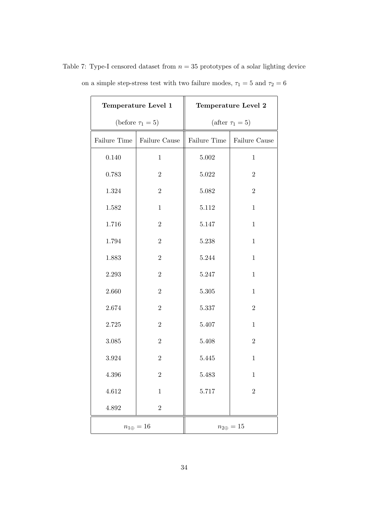|              | Temperature Level 1    | Temperature Level 2   |                  |  |  |
|--------------|------------------------|-----------------------|------------------|--|--|
|              | (before $\tau_1 = 5$ ) | (after $\tau_1 = 5$ ) |                  |  |  |
| Failure Time | Failure Cause          | Failure Time          | Failure Cause    |  |  |
| 0.140        | $\mathbf{1}$           | $5.002\,$             | $\mathbf{1}$     |  |  |
| 0.783        | $\overline{2}$         | 5.022                 | $\overline{2}$   |  |  |
| 1.324        | $\overline{2}$         | 5.082                 | $\overline{2}$   |  |  |
| 1.582        | $\mathbf{1}$           | $5.112\,$             | $\mathbf{1}$     |  |  |
| 1.716        | $\overline{2}$         | $5.147\,$             | $\mathbf{1}$     |  |  |
| 1.794        | $\overline{2}$         | 5.238                 | $\mathbf{1}$     |  |  |
| 1.883        | $\overline{2}$         | 5.244                 | $\mathbf{1}$     |  |  |
| 2.293        | $\overline{2}$         | $5.247\,$             | $\mathbf{1}$     |  |  |
| 2.660        | $\overline{2}$         | $5.305\,$             | $\mathbf{1}$     |  |  |
| 2.674        | $\overline{2}$         | 5.337                 | $\overline{2}$   |  |  |
| 2.725        | $\overline{2}$         | $5.407\,$             | $\mathbf{1}$     |  |  |
| $3.085\,$    | $\overline{2}$         | $5.408\,$             | $\overline{2}$   |  |  |
| 3.924        | $\overline{2}$         | 5.445                 | $\mathbf{1}$     |  |  |
| 4.396        | $\sqrt{2}$             | 5.483                 | $\mathbf{1}$     |  |  |
| 4.612        | $\,1$                  | 5.717                 | $\overline{2}$   |  |  |
| $4.892\,$    | $\overline{2}$         |                       |                  |  |  |
|              | $n_{1\oplus}=16$       |                       | $n_{2\oplus}=15$ |  |  |

Table 7: Type-I censored dataset from  $n = 35$  prototypes of a solar lighting device on a simple step-stress test with two failure modes,  $\tau_1 = 5$  and  $\tau_2 = 6$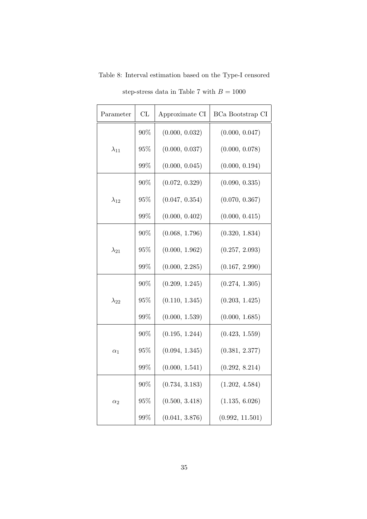| Parameter      | CL     | Approximate CI | BCa Bootstrap CI |
|----------------|--------|----------------|------------------|
|                | 90%    | (0.000, 0.032) | (0.000, 0.047)   |
| $\lambda_{11}$ | $95\%$ | (0.000, 0.037) | (0.000, 0.078)   |
|                | 99%    | (0.000, 0.045) | (0.000, 0.194)   |
|                | 90%    | (0.072, 0.329) | (0.090, 0.335)   |
| $\lambda_{12}$ | 95%    | (0.047, 0.354) | (0.070, 0.367)   |
|                | 99%    | (0.000, 0.402) | (0.000, 0.415)   |
|                | 90%    | (0.068, 1.796) | (0.320, 1.834)   |
| $\lambda_{21}$ | 95%    | (0.000, 1.962) | (0.257, 2.093)   |
|                | 99%    | (0.000, 2.285) | (0.167, 2.990)   |
|                | 90%    | (0.209, 1.245) | (0.274, 1.305)   |
| $\lambda_{22}$ | 95%    | (0.110, 1.345) | (0.203, 1.425)   |
|                | 99%    | (0.000, 1.539) | (0.000, 1.685)   |
|                | 90%    | (0.195, 1.244) | (0.423, 1.559)   |
| $\alpha_1$     | 95%    | (0.094, 1.345) | (0.381, 2.377)   |
|                | 99%    | (0.000, 1.541) | (0.292, 8.214)   |
|                | 90%    | (0.734, 3.183) | (1.202, 4.584)   |
| $\alpha_2$     | $95\%$ | (0.500, 3.418) | (1.135, 6.026)   |
|                | 99%    | (0.041, 3.876) | (0.992, 11.501)  |

Table 8: Interval estimation based on the Type-I censored step-stress data in Table 7 with  $B=1000\,$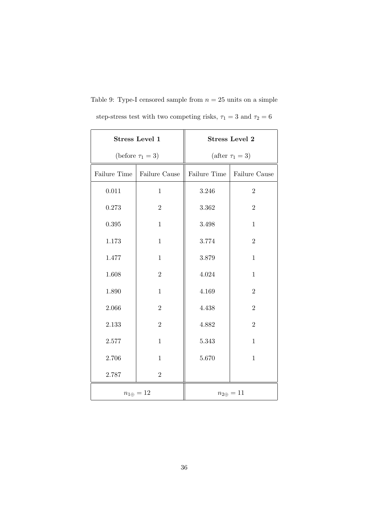|              | <b>Stress Level 1</b>  | <b>Stress Level 2</b> |                  |  |  |
|--------------|------------------------|-----------------------|------------------|--|--|
|              | (before $\tau_1 = 3$ ) | (after $\tau_1 = 3$ ) |                  |  |  |
| Failure Time | Failure Cause          | Failure Time          | Failure Cause    |  |  |
| 0.011        | $\mathbf{1}$           | 3.246                 | $\overline{2}$   |  |  |
| 0.273        | $\overline{2}$         | 3.362                 | $\overline{2}$   |  |  |
| 0.395        | $\mathbf{1}$           | 3.498                 | $\mathbf{1}$     |  |  |
| 1.173        | $\mathbf{1}$           | 3.774                 | $\overline{2}$   |  |  |
| 1.477        | $\mathbf{1}$           | 3.879                 | $\mathbf{1}$     |  |  |
| 1.608        | $\overline{2}$         | 4.024                 | $\mathbf{1}$     |  |  |
| 1.890        | $\mathbf{1}$           | 4.169                 | $\overline{2}$   |  |  |
| 2.066        | $\overline{2}$         | 4.438                 | $\overline{2}$   |  |  |
| 2.133        | $\overline{2}$         | 4.882                 | $\overline{2}$   |  |  |
| 2.577        | $\mathbf{1}$           | 5.343                 | $\mathbf{1}$     |  |  |
| 2.706        | $\mathbf{1}$           | 5.670                 | $\mathbf{1}$     |  |  |
| 2.787        | $\overline{2}$         |                       |                  |  |  |
|              | $n_{1\oplus}=12$       |                       | $n_{2\oplus}=11$ |  |  |

Table 9: Type-I censored sample from  $n = 25$  units on a simple step-stress test with two competing risks,  $\tau_1 = 3$  and  $\tau_2 = 6$